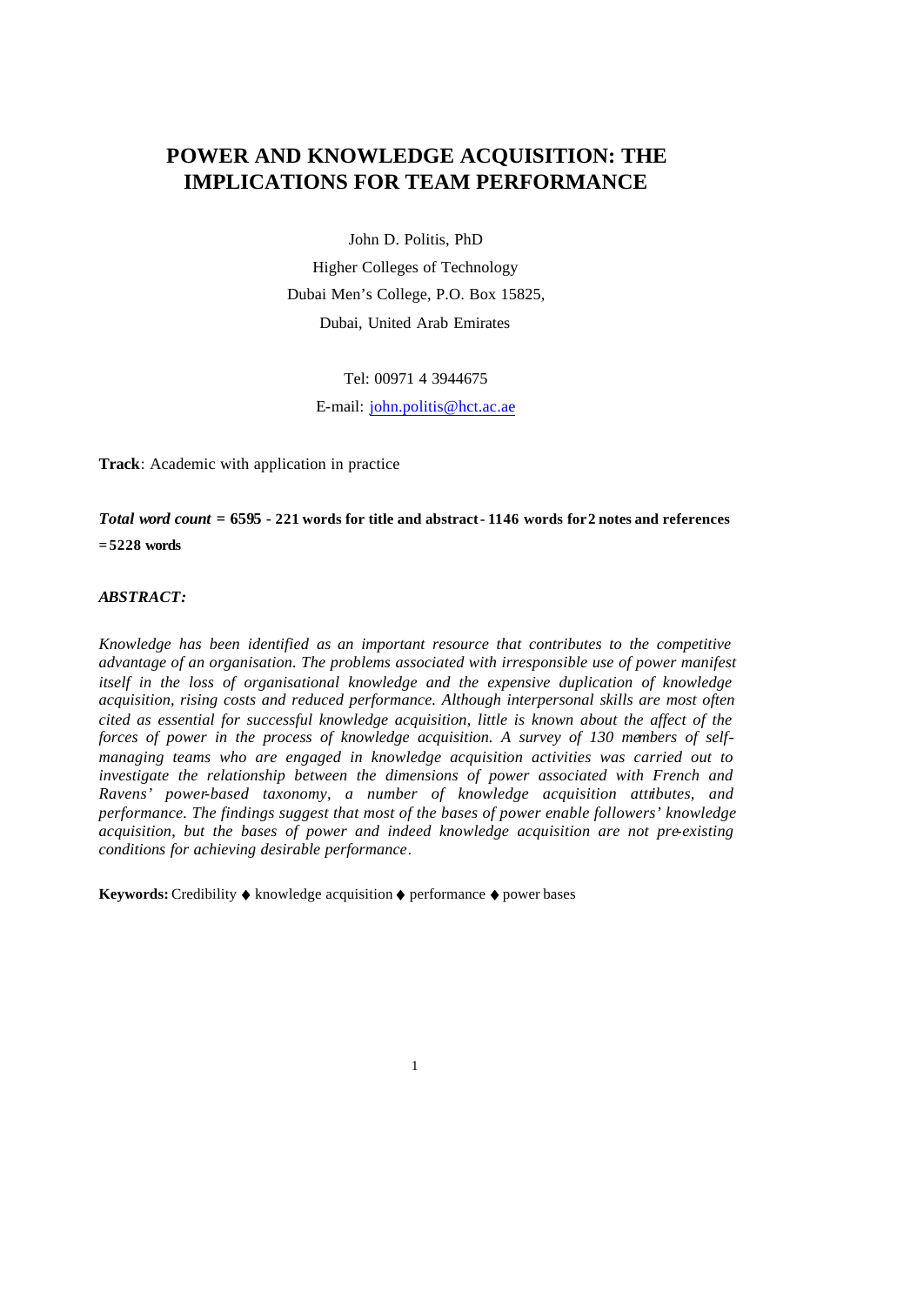# **POWER AND KNOWLEDGE ACQUISITION: THE IMPLICATIONS FOR TEAM PERFORMANCE**

John D. Politis, PhD

Higher Colleges of Technology Dubai Men's College, P.O. Box 15825, Dubai, United Arab Emirates

Tel: 00971 4 3944675

E-mail: john.politis@hct.ac.ae

**Track**: Academic with application in practice

*Total word count =* **6595** *-* **221 words for title and abstract - 1146 words for 2 notes and references = 5228 words**

# *ABSTRACT:*

*Knowledge has been identified as an important resource that contributes to the competitive advantage of an organisation. The problems associated with irresponsible use of power manifest itself in the loss of organisational knowledge and the expensive duplication of knowledge acquisition, rising costs and reduced performance. Although interpersonal skills are most often cited as essential for successful knowledge acquisition, little is known about the affect of the forces of power in the process of knowledge acquisition. A survey of 130 members of selfmanaging teams who are engaged in knowledge acquisition activities was carried out to investigate the relationship between the dimensions of power associated with French and Ravens' power-based taxonomy, a number of knowledge acquisition attributes, and performance. The findings suggest that most of the bases of power enable followers' knowledge acquisition, but the bases of power and indeed knowledge acquisition are not pre-existing conditions for achieving desirable performance*.

**Keywords:** Credibility ♦ knowledge acquisition ♦ performance ♦ power bases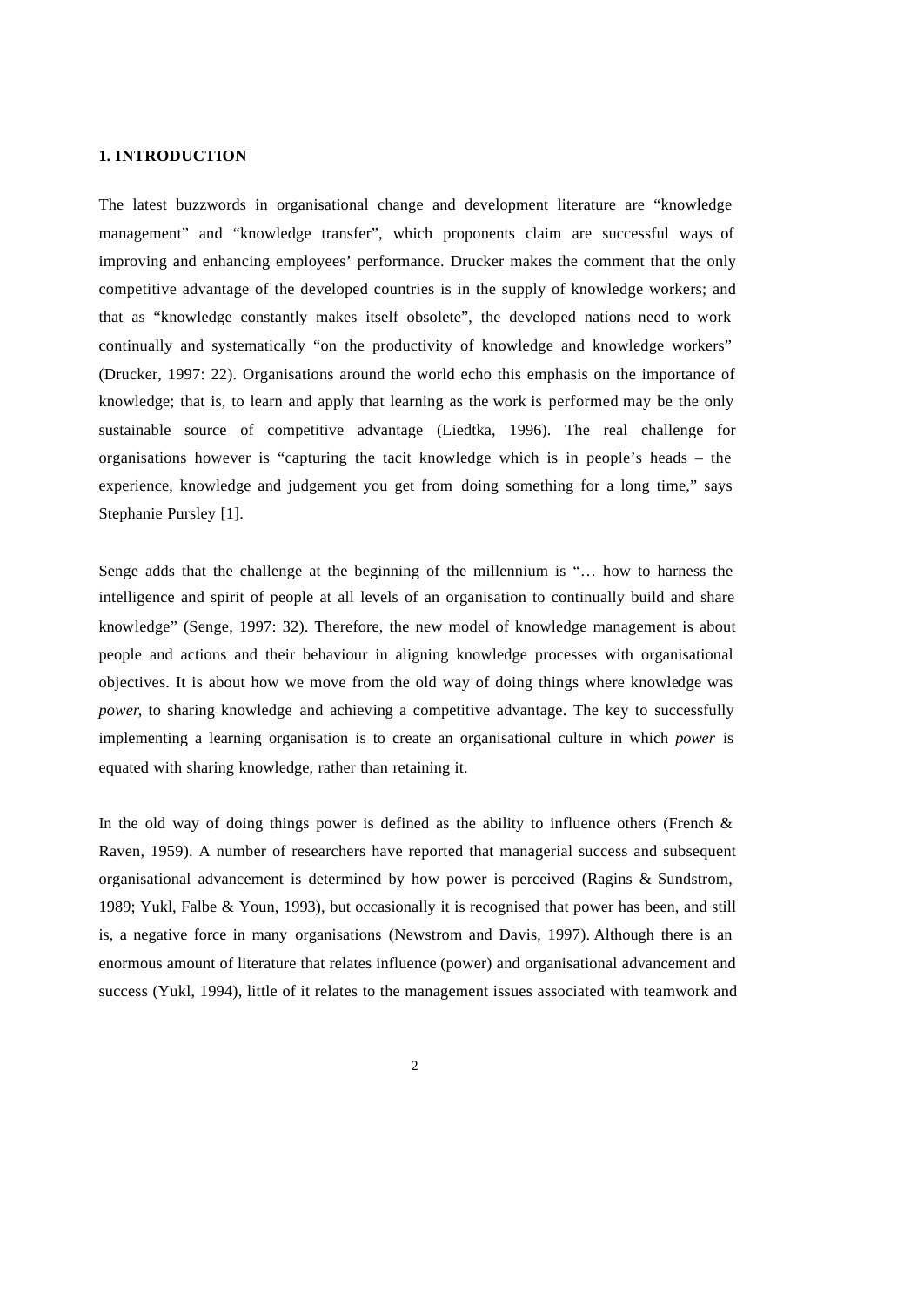#### **1. INTRODUCTION**

The latest buzzwords in organisational change and development literature are "knowledge management" and "knowledge transfer", which proponents claim are successful ways of improving and enhancing employees' performance. Drucker makes the comment that the only competitive advantage of the developed countries is in the supply of knowledge workers; and that as "knowledge constantly makes itself obsolete", the developed nations need to work continually and systematically "on the productivity of knowledge and knowledge workers" (Drucker, 1997: 22). Organisations around the world echo this emphasis on the importance of knowledge; that is, to learn and apply that learning as the work is performed may be the only sustainable source of competitive advantage (Liedtka, 1996). The real challenge for organisations however is "capturing the tacit knowledge which is in people's heads – the experience, knowledge and judgement you get from doing something for a long time," says Stephanie Pursley [1].

Senge adds that the challenge at the beginning of the millennium is "… how to harness the intelligence and spirit of people at all levels of an organisation to continually build and share knowledge" (Senge, 1997: 32). Therefore, the new model of knowledge management is about people and actions and their behaviour in aligning knowledge processes with organisational objectives. It is about how we move from the old way of doing things where knowledge was *power*, to sharing knowledge and achieving a competitive advantage. The key to successfully implementing a learning organisation is to create an organisational culture in which *power* is equated with sharing knowledge, rather than retaining it.

In the old way of doing things power is defined as the ability to influence others (French  $\&$ Raven, 1959). A number of researchers have reported that managerial success and subsequent organisational advancement is determined by how power is perceived (Ragins & Sundstrom, 1989; Yukl, Falbe & Youn, 1993), but occasionally it is recognised that power has been, and still is, a negative force in many organisations (Newstrom and Davis, 1997). Although there is an enormous amount of literature that relates influence (power) and organisational advancement and success (Yukl, 1994), little of it relates to the management issues associated with teamwork and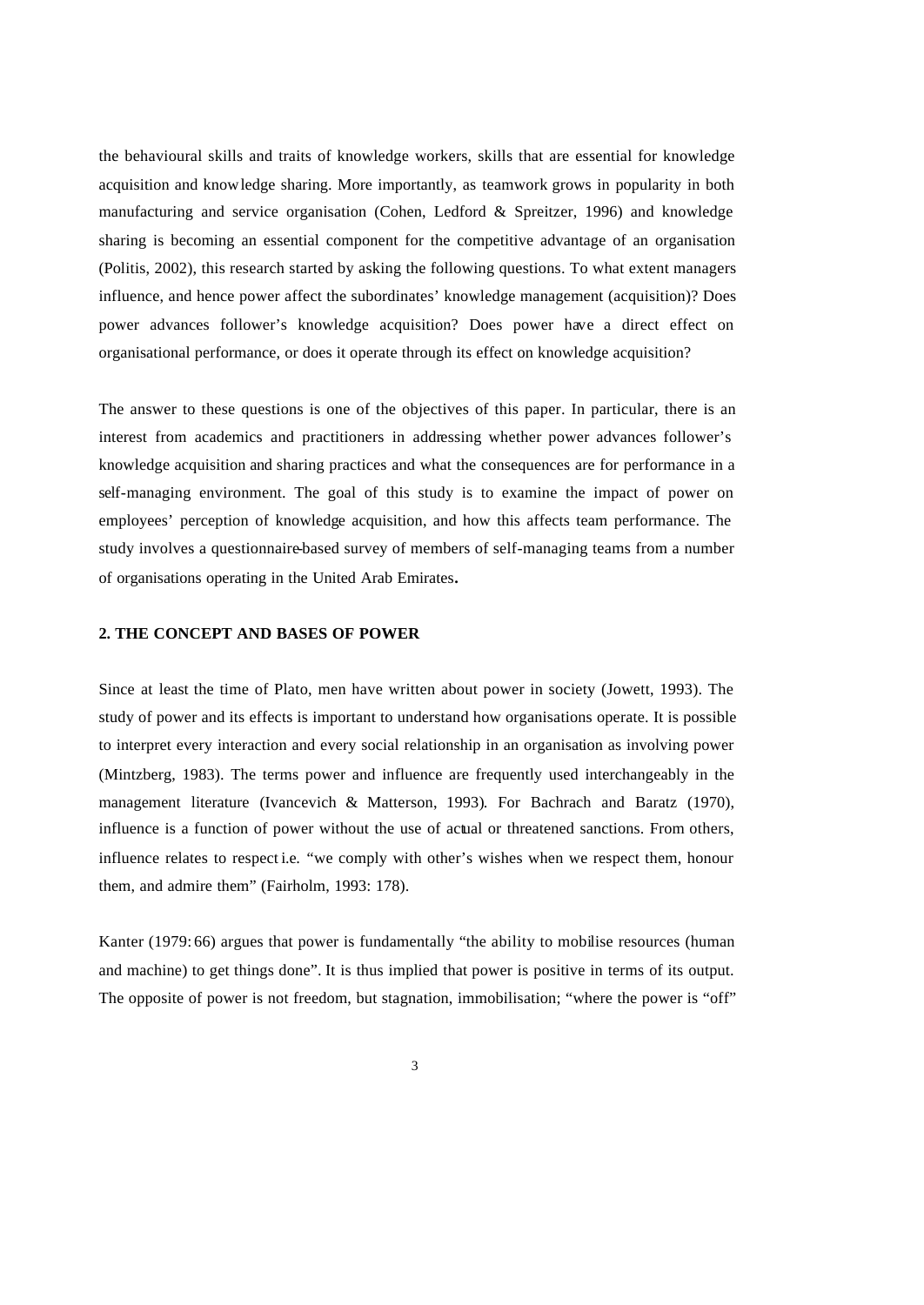the behavioural skills and traits of knowledge workers, skills that are essential for knowledge acquisition and knowledge sharing. More importantly, as teamwork grows in popularity in both manufacturing and service organisation (Cohen, Ledford & Spreitzer, 1996) and knowledge sharing is becoming an essential component for the competitive advantage of an organisation (Politis, 2002), this research started by asking the following questions. To what extent managers influence, and hence power affect the subordinates' knowledge management (acquisition)? Does power advances follower's knowledge acquisition? Does power have a direct effect on organisational performance, or does it operate through its effect on knowledge acquisition?

The answer to these questions is one of the objectives of this paper. In particular, there is an interest from academics and practitioners in addressing whether power advances follower's knowledge acquisition and sharing practices and what the consequences are for performance in a self-managing environment. The goal of this study is to examine the impact of power on employees' perception of knowledge acquisition, and how this affects team performance. The study involves a questionnaire-based survey of members of self-managing teams from a number of organisations operating in the United Arab Emirates**.**

#### **2. THE CONCEPT AND BASES OF POWER**

Since at least the time of Plato, men have written about power in society (Jowett, 1993). The study of power and its effects is important to understand how organisations operate. It is possible to interpret every interaction and every social relationship in an organisation as involving power (Mintzberg, 1983). The terms power and influence are frequently used interchangeably in the management literature (Ivancevich & Matterson, 1993). For Bachrach and Baratz (1970), influence is a function of power without the use of actual or threatened sanctions. From others, influence relates to respect i.e. "we comply with other's wishes when we respect them, honour them, and admire them" (Fairholm, 1993: 178).

Kanter (1979: 66) argues that power is fundamentally "the ability to mobilise resources (human and machine) to get things done". It is thus implied that power is positive in terms of its output. The opposite of power is not freedom, but stagnation, immobilisation; "where the power is "off"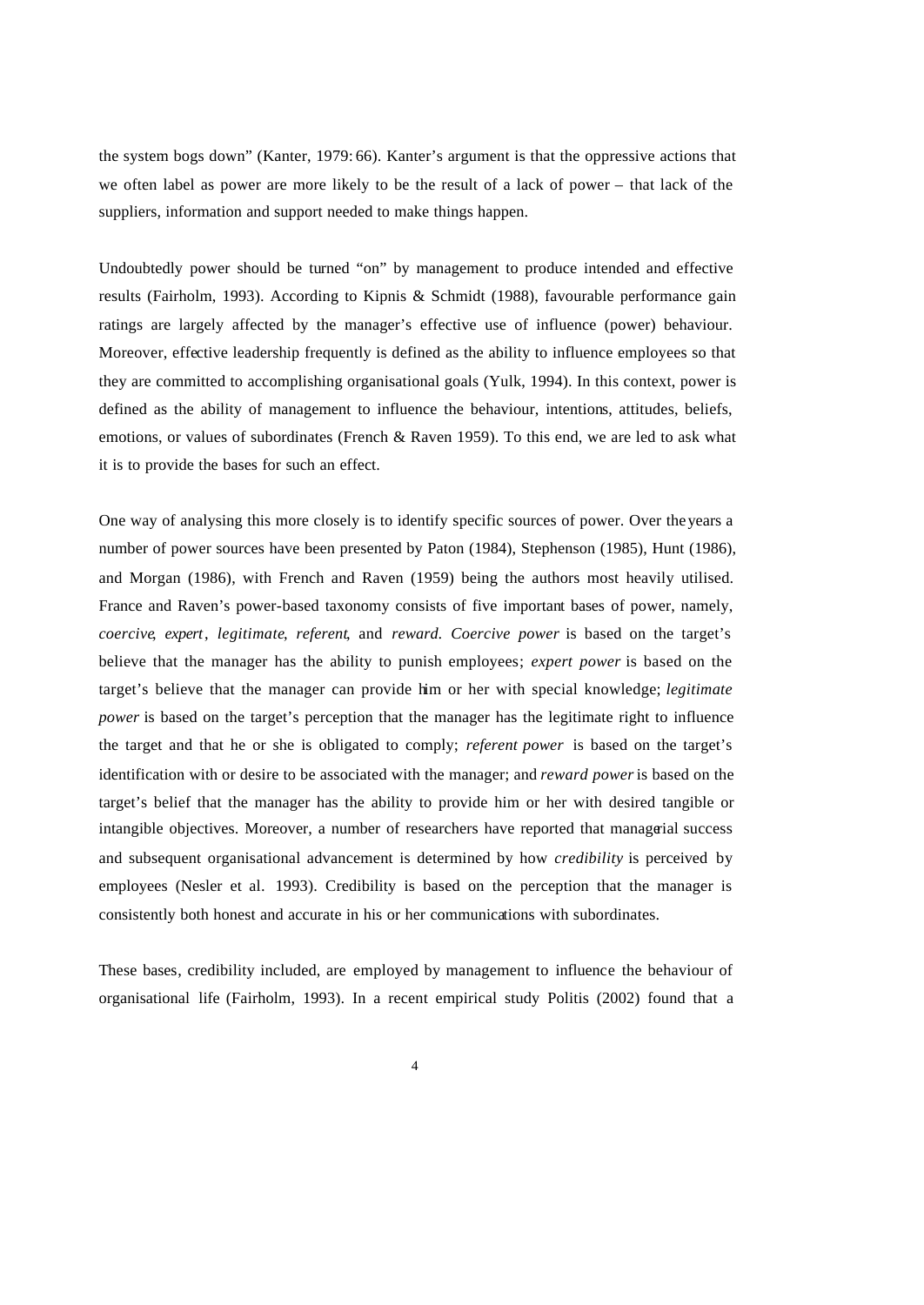the system bogs down" (Kanter, 1979: 66). Kanter's argument is that the oppressive actions that we often label as power are more likely to be the result of a lack of power – that lack of the suppliers, information and support needed to make things happen.

Undoubtedly power should be turned "on" by management to produce intended and effective results (Fairholm, 1993). According to Kipnis & Schmidt (1988), favourable performance gain ratings are largely affected by the manager's effective use of influence (power) behaviour. Moreover, effective leadership frequently is defined as the ability to influence employees so that they are committed to accomplishing organisational goals (Yulk, 1994). In this context, power is defined as the ability of management to influence the behaviour, intentions, attitudes, beliefs, emotions, or values of subordinates (French & Raven 1959). To this end, we are led to ask what it is to provide the bases for such an effect.

One way of analysing this more closely is to identify specific sources of power. Over the years a number of power sources have been presented by Paton (1984), Stephenson (1985), Hunt (1986), and Morgan (1986), with French and Raven (1959) being the authors most heavily utilised. France and Raven's power-based taxonomy consists of five important bases of power, namely, *coercive*, *expert*, *legitimate*, *referent*, and *reward*. *Coercive power* is based on the target's believe that the manager has the ability to punish employees; *expert power* is based on the target's believe that the manager can provide him or her with special knowledge; *legitimate power* is based on the target's perception that the manager has the legitimate right to influence the target and that he or she is obligated to comply; *referent power* is based on the target's identification with or desire to be associated with the manager; and *reward power* is based on the target's belief that the manager has the ability to provide him or her with desired tangible or intangible objectives. Moreover, a number of researchers have reported that managerial success and subsequent organisational advancement is determined by how *credibility* is perceived by employees (Nesler et al. 1993). Credibility is based on the perception that the manager is consistently both honest and accurate in his or her communications with subordinates.

These bases, credibility included, are employed by management to influence the behaviour of organisational life (Fairholm, 1993). In a recent empirical study Politis (2002) found that a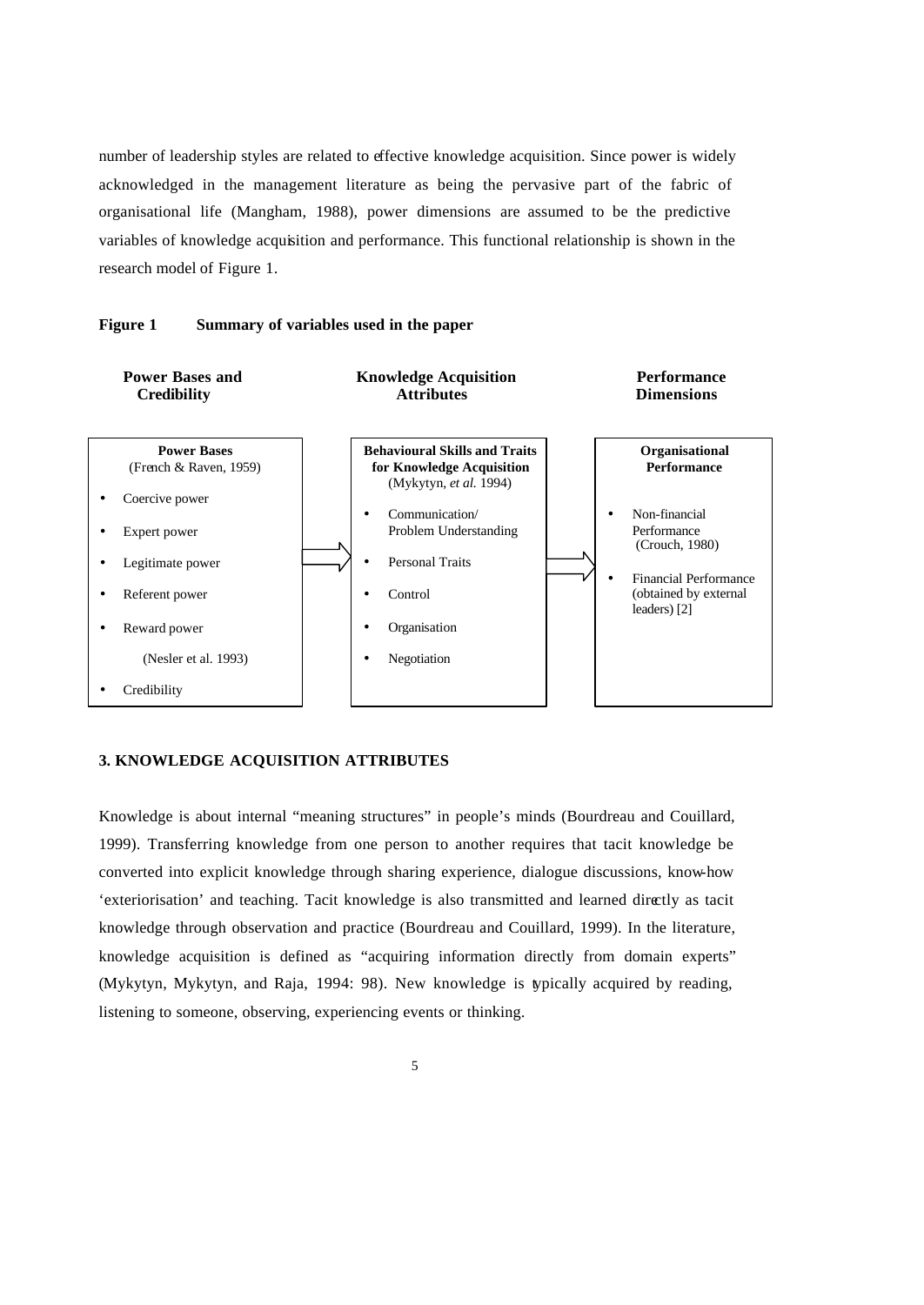number of leadership styles are related to effective knowledge acquisition. Since power is widely acknowledged in the management literature as being the pervasive part of the fabric of organisational life (Mangham, 1988), power dimensions are assumed to be the predictive variables of knowledge acquisition and performance. This functional relationship is shown in the research model of Figure 1.



#### **Figure 1 Summary of variables used in the paper**

# **3. KNOWLEDGE ACQUISITION ATTRIBUTES**

Knowledge is about internal "meaning structures" in people's minds (Bourdreau and Couillard, 1999). Transferring knowledge from one person to another requires that tacit knowledge be converted into explicit knowledge through sharing experience, dialogue discussions, know-how 'exteriorisation' and teaching. Tacit knowledge is also transmitted and learned directly as tacit knowledge through observation and practice (Bourdreau and Couillard, 1999). In the literature, knowledge acquisition is defined as "acquiring information directly from domain experts" (Mykytyn, Mykytyn, and Raja, 1994: 98). New knowledge is typically acquired by reading, listening to someone, observing, experiencing events or thinking.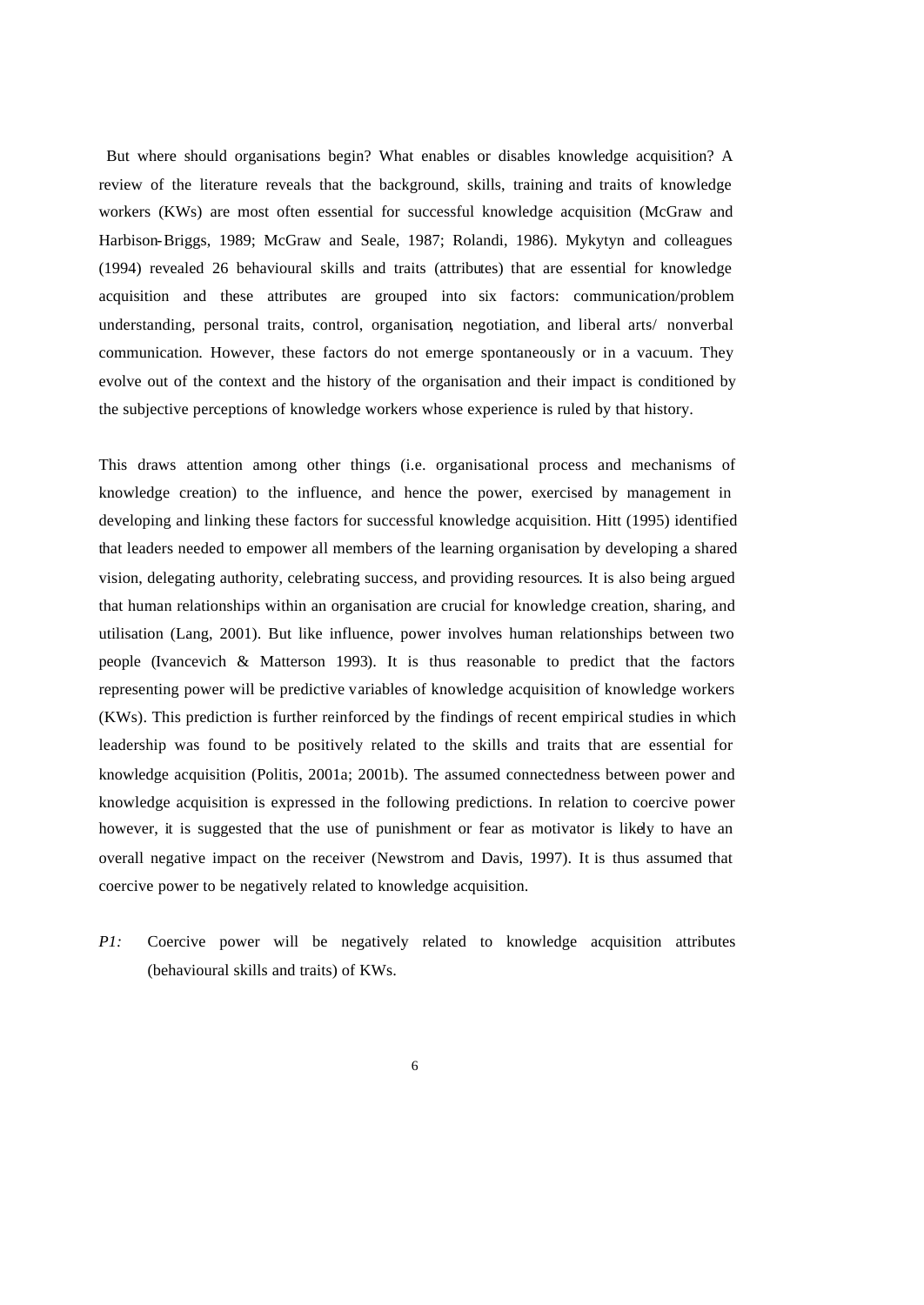But where should organisations begin? What enables or disables knowledge acquisition? A review of the literature reveals that the background, skills, training and traits of knowledge workers (KWs) are most often essential for successful knowledge acquisition (McGraw and Harbison-Briggs, 1989; McGraw and Seale, 1987; Rolandi, 1986). Mykytyn and colleagues (1994) revealed 26 behavioural skills and traits (attributes) that are essential for knowledge acquisition and these attributes are grouped into six factors: communication/problem understanding, personal traits, control, organisation, negotiation, and liberal arts/ nonverbal communication. However, these factors do not emerge spontaneously or in a vacuum. They evolve out of the context and the history of the organisation and their impact is conditioned by the subjective perceptions of knowledge workers whose experience is ruled by that history.

This draws attention among other things (i.e. organisational process and mechanisms of knowledge creation) to the influence, and hence the power, exercised by management in developing and linking these factors for successful knowledge acquisition. Hitt (1995) identified that leaders needed to empower all members of the learning organisation by developing a shared vision, delegating authority, celebrating success, and providing resources. It is also being argued that human relationships within an organisation are crucial for knowledge creation, sharing, and utilisation (Lang, 2001). But like influence, power involves human relationships between two people (Ivancevich & Matterson 1993). It is thus reasonable to predict that the factors representing power will be predictive variables of knowledge acquisition of knowledge workers (KWs). This prediction is further reinforced by the findings of recent empirical studies in which leadership was found to be positively related to the skills and traits that are essential for knowledge acquisition (Politis, 2001a; 2001b). The assumed connectedness between power and knowledge acquisition is expressed in the following predictions. In relation to coercive power however, it is suggested that the use of punishment or fear as motivator is likely to have an overall negative impact on the receiver (Newstrom and Davis, 1997). It is thus assumed that coercive power to be negatively related to knowledge acquisition.

*P1:* Coercive power will be negatively related to knowledge acquisition attributes (behavioural skills and traits) of KWs.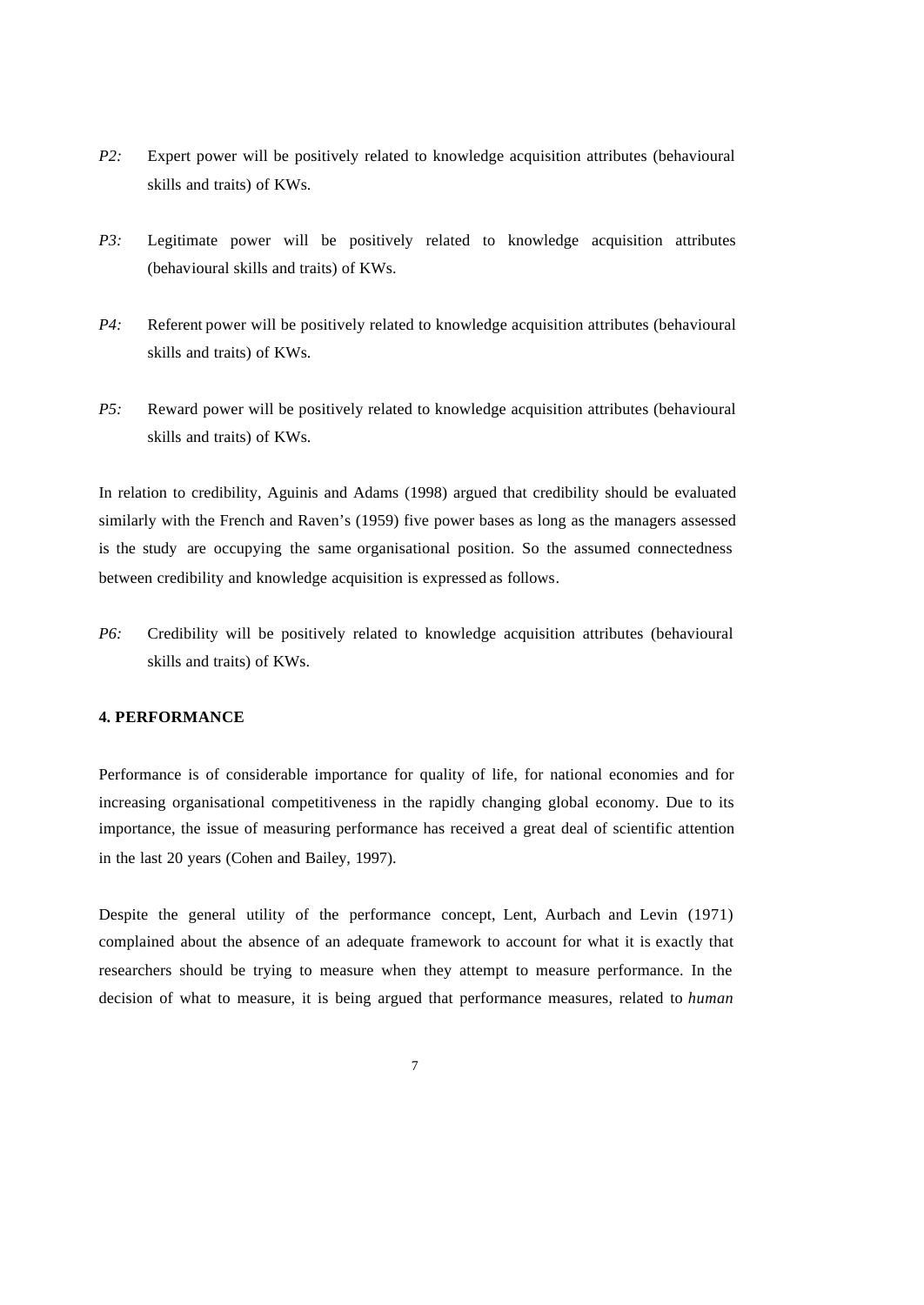- *P2:* Expert power will be positively related to knowledge acquisition attributes (behavioural skills and traits) of KWs.
- *P3:* Legitimate power will be positively related to knowledge acquisition attributes (behavioural skills and traits) of KWs.
- *P4:* Referent power will be positively related to knowledge acquisition attributes (behavioural skills and traits) of KWs.
- *P5:* Reward power will be positively related to knowledge acquisition attributes (behavioural skills and traits) of KWs.

In relation to credibility, Aguinis and Adams (1998) argued that credibility should be evaluated similarly with the French and Raven's (1959) five power bases as long as the managers assessed is the study are occupying the same organisational position. So the assumed connectedness between credibility and knowledge acquisition is expressed as follows.

*P6:* Credibility will be positively related to knowledge acquisition attributes (behavioural skills and traits) of KWs.

#### **4. PERFORMANCE**

Performance is of considerable importance for quality of life, for national economies and for increasing organisational competitiveness in the rapidly changing global economy. Due to its importance, the issue of measuring performance has received a great deal of scientific attention in the last 20 years (Cohen and Bailey, 1997).

Despite the general utility of the performance concept, Lent, Aurbach and Levin (1971) complained about the absence of an adequate framework to account for what it is exactly that researchers should be trying to measure when they attempt to measure performance. In the decision of what to measure, it is being argued that performance measures, related to *human*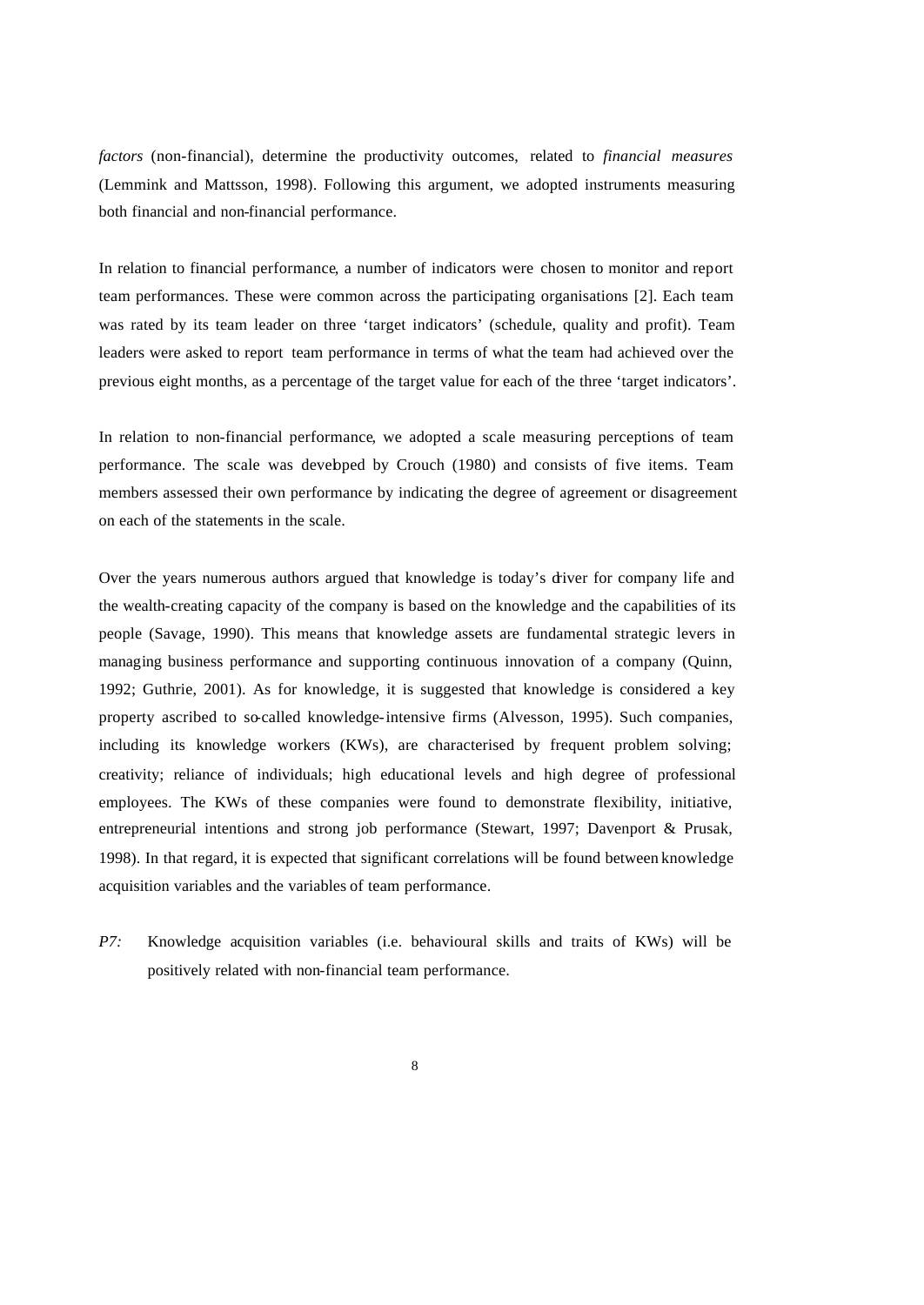*factors* (non-financial), determine the productivity outcomes, related to *financial measures* (Lemmink and Mattsson, 1998). Following this argument, we adopted instruments measuring both financial and non-financial performance.

In relation to financial performance, a number of indicators were chosen to monitor and report team performances. These were common across the participating organisations [2]. Each team was rated by its team leader on three 'target indicators' (schedule, quality and profit). Team leaders were asked to report team performance in terms of what the team had achieved over the previous eight months, as a percentage of the target value for each of the three 'target indicators'.

In relation to non-financial performance, we adopted a scale measuring perceptions of team performance. The scale was developed by Crouch (1980) and consists of five items. Team members assessed their own performance by indicating the degree of agreement or disagreement on each of the statements in the scale.

Over the years numerous authors argued that knowledge is today's driver for company life and the wealth-creating capacity of the company is based on the knowledge and the capabilities of its people (Savage, 1990). This means that knowledge assets are fundamental strategic levers in managing business performance and supporting continuous innovation of a company (Quinn, 1992; Guthrie, 2001). As for knowledge, it is suggested that knowledge is considered a key property ascribed to so-called knowledge-intensive firms (Alvesson, 1995). Such companies, including its knowledge workers (KWs), are characterised by frequent problem solving; creativity; reliance of individuals; high educational levels and high degree of professional employees. The KWs of these companies were found to demonstrate flexibility, initiative, entrepreneurial intentions and strong job performance (Stewart, 1997; Davenport & Prusak, 1998). In that regard, it is expected that significant correlations will be found between knowledge acquisition variables and the variables of team performance.

*P7:* Knowledge acquisition variables (i.e. behavioural skills and traits of KWs) will be positively related with non-financial team performance.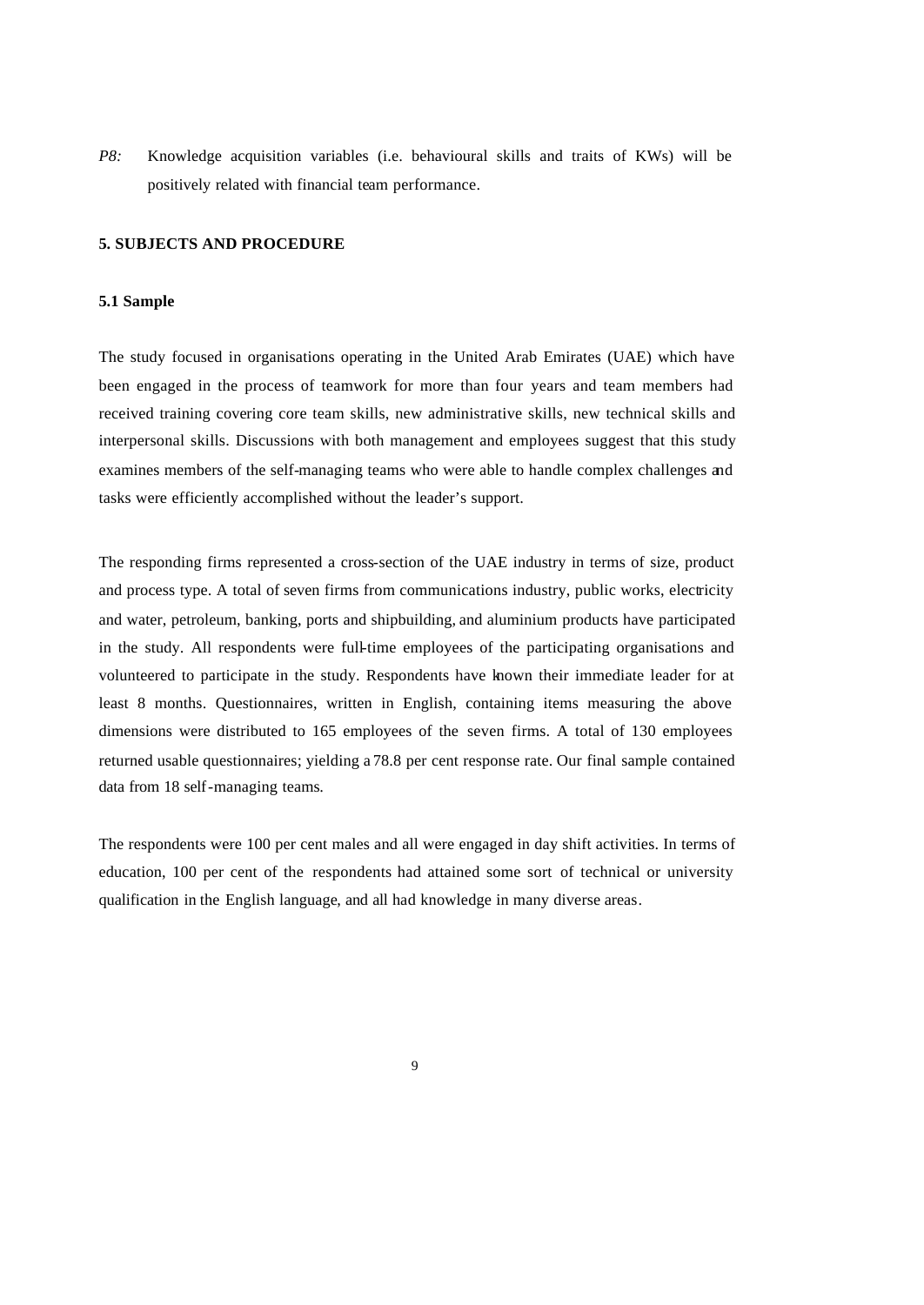*P8:* Knowledge acquisition variables (i.e. behavioural skills and traits of KWs) will be positively related with financial team performance.

#### **5. SUBJECTS AND PROCEDURE**

## **5.1 Sample**

The study focused in organisations operating in the United Arab Emirates (UAE) which have been engaged in the process of teamwork for more than four years and team members had received training covering core team skills, new administrative skills, new technical skills and interpersonal skills. Discussions with both management and employees suggest that this study examines members of the self-managing teams who were able to handle complex challenges and tasks were efficiently accomplished without the leader's support.

The responding firms represented a cross-section of the UAE industry in terms of size, product and process type. A total of seven firms from communications industry, public works, electricity and water, petroleum, banking, ports and shipbuilding, and aluminium products have participated in the study. All respondents were full-time employees of the participating organisations and volunteered to participate in the study. Respondents have known their immediate leader for at least 8 months. Questionnaires, written in English, containing items measuring the above dimensions were distributed to 165 employees of the seven firms. A total of 130 employees returned usable questionnaires; yielding a 78.8 per cent response rate. Our final sample contained data from 18 self-managing teams.

The respondents were 100 per cent males and all were engaged in day shift activities. In terms of education, 100 per cent of the respondents had attained some sort of technical or university qualification in the English language, and all had knowledge in many diverse areas.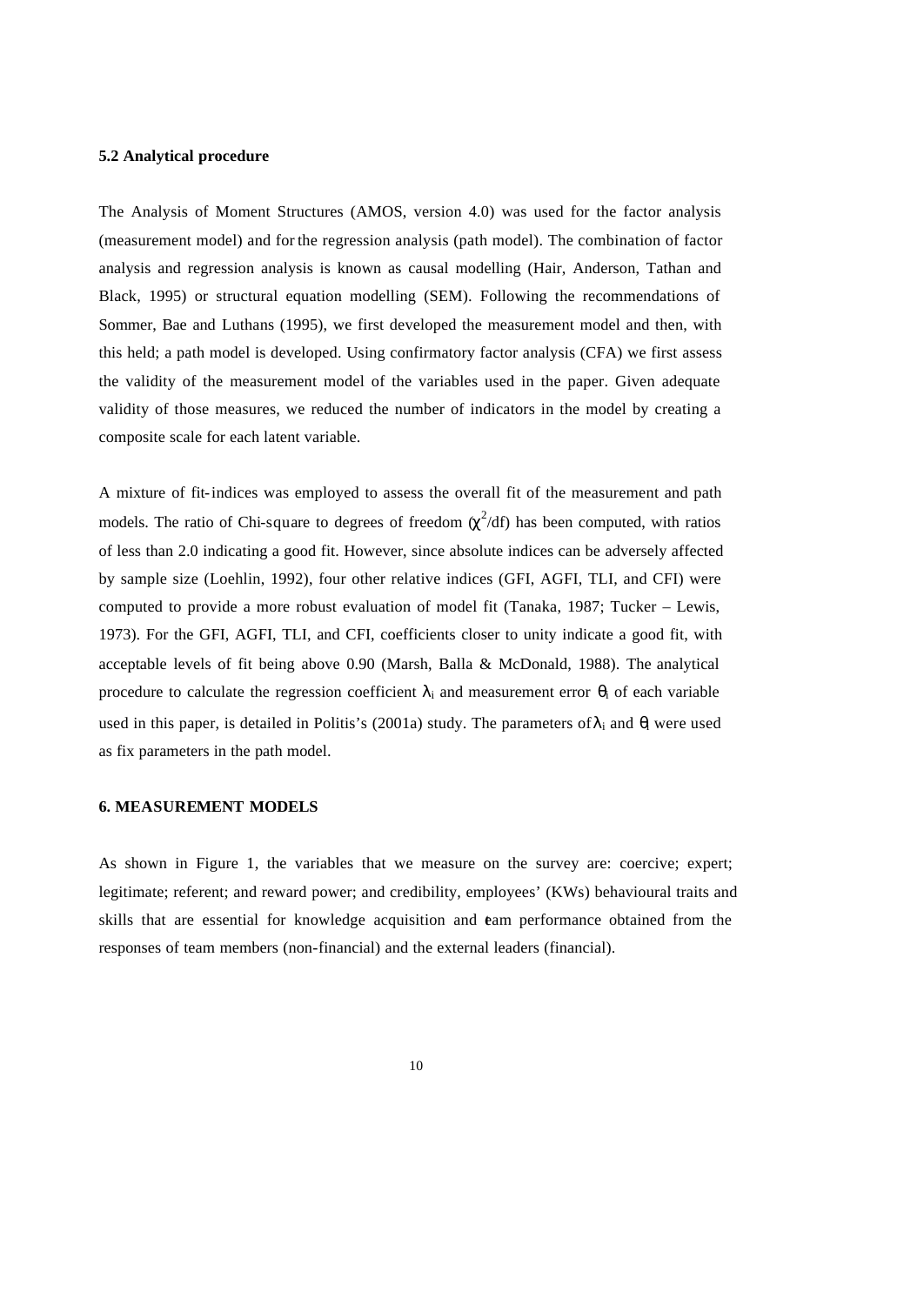#### **5.2 Analytical procedure**

The Analysis of Moment Structures (AMOS, version 4.0) was used for the factor analysis (measurement model) and for the regression analysis (path model). The combination of factor analysis and regression analysis is known as causal modelling (Hair, Anderson, Tathan and Black, 1995) or structural equation modelling (SEM). Following the recommendations of Sommer, Bae and Luthans (1995), we first developed the measurement model and then, with this held; a path model is developed. Using confirmatory factor analysis (CFA) we first assess the validity of the measurement model of the variables used in the paper. Given adequate validity of those measures, we reduced the number of indicators in the model by creating a composite scale for each latent variable.

A mixture of fit-indices was employed to assess the overall fit of the measurement and path models. The ratio of Chi-square to degrees of freedom  $(\chi^2/df)$  has been computed, with ratios of less than 2.0 indicating a good fit. However, since absolute indices can be adversely affected by sample size (Loehlin, 1992), four other relative indices (GFI, AGFI, TLI, and CFI) were computed to provide a more robust evaluation of model fit (Tanaka, 1987; Tucker – Lewis, 1973). For the GFI, AGFI, TLI, and CFI, coefficients closer to unity indicate a good fit, with acceptable levels of fit being above 0.90 (Marsh, Balla & McDonald, 1988). The analytical procedure to calculate the regression coefficient  $\lambda_i$  and measurement error  $\theta_i$  of each variable used in this paper, is detailed in Politis's (2001a) study. The parameters of  $\lambda_i$  and  $\theta_i$  were used as fix parameters in the path model.

# **6. MEASUREMENT MODELS**

As shown in Figure 1, the variables that we measure on the survey are: coercive; expert; legitimate; referent; and reward power; and credibility, employees' (KWs) behavioural traits and skills that are essential for knowledge acquisition and team performance obtained from the responses of team members (non-financial) and the external leaders (financial).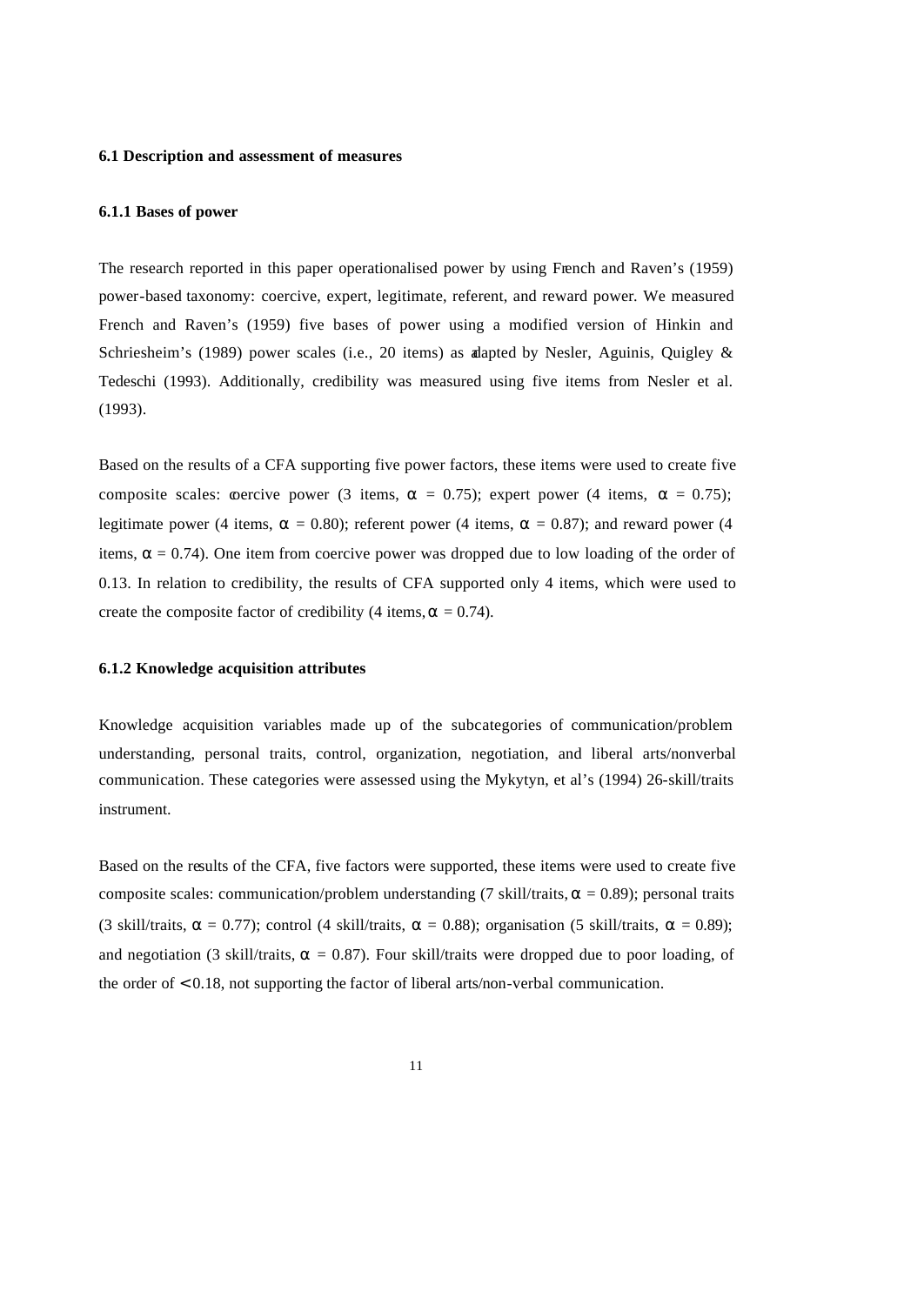#### **6.1 Description and assessment of measures**

# **6.1.1 Bases of power**

The research reported in this paper operationalised power by using French and Raven's (1959) power-based taxonomy: coercive, expert, legitimate, referent, and reward power. We measured French and Raven's (1959) five bases of power using a modified version of Hinkin and Schriesheim's (1989) power scales (i.e., 20 items) as alapted by Nesler, Aguinis, Quigley & Tedeschi (1993). Additionally, credibility was measured using five items from Nesler et al. (1993).

Based on the results of a CFA supporting five power factors, these items were used to create five composite scales: coercive power (3 items,  $\alpha = 0.75$ ); expert power (4 items,  $\alpha = 0.75$ ); legitimate power (4 items,  $\alpha = 0.80$ ); referent power (4 items,  $\alpha = 0.87$ ); and reward power (4 items,  $\alpha = 0.74$ ). One item from coercive power was dropped due to low loading of the order of 0.13. In relation to credibility, the results of CFA supported only 4 items, which were used to create the composite factor of credibility (4 items,  $\alpha = 0.74$ ).

#### **6.1.2 Knowledge acquisition attributes**

Knowledge acquisition variables made up of the subcategories of communication/problem understanding, personal traits, control, organization, negotiation, and liberal arts/nonverbal communication. These categories were assessed using the Mykytyn, et al.'s (1994) 26-skill/traits instrument.

Based on the results of the CFA, five factors were supported, these items were used to create five composite scales: communication/problem understanding (7 skill/traits,  $\alpha = 0.89$ ); personal traits (3 skill/traits,  $\alpha = 0.77$ ); control (4 skill/traits,  $\alpha = 0.88$ ); organisation (5 skill/traits,  $\alpha = 0.89$ ); and negotiation (3 skill/traits,  $\alpha = 0.87$ ). Four skill/traits were dropped due to poor loading, of the order of < 0.18, not supporting the factor of liberal arts/non-verbal communication.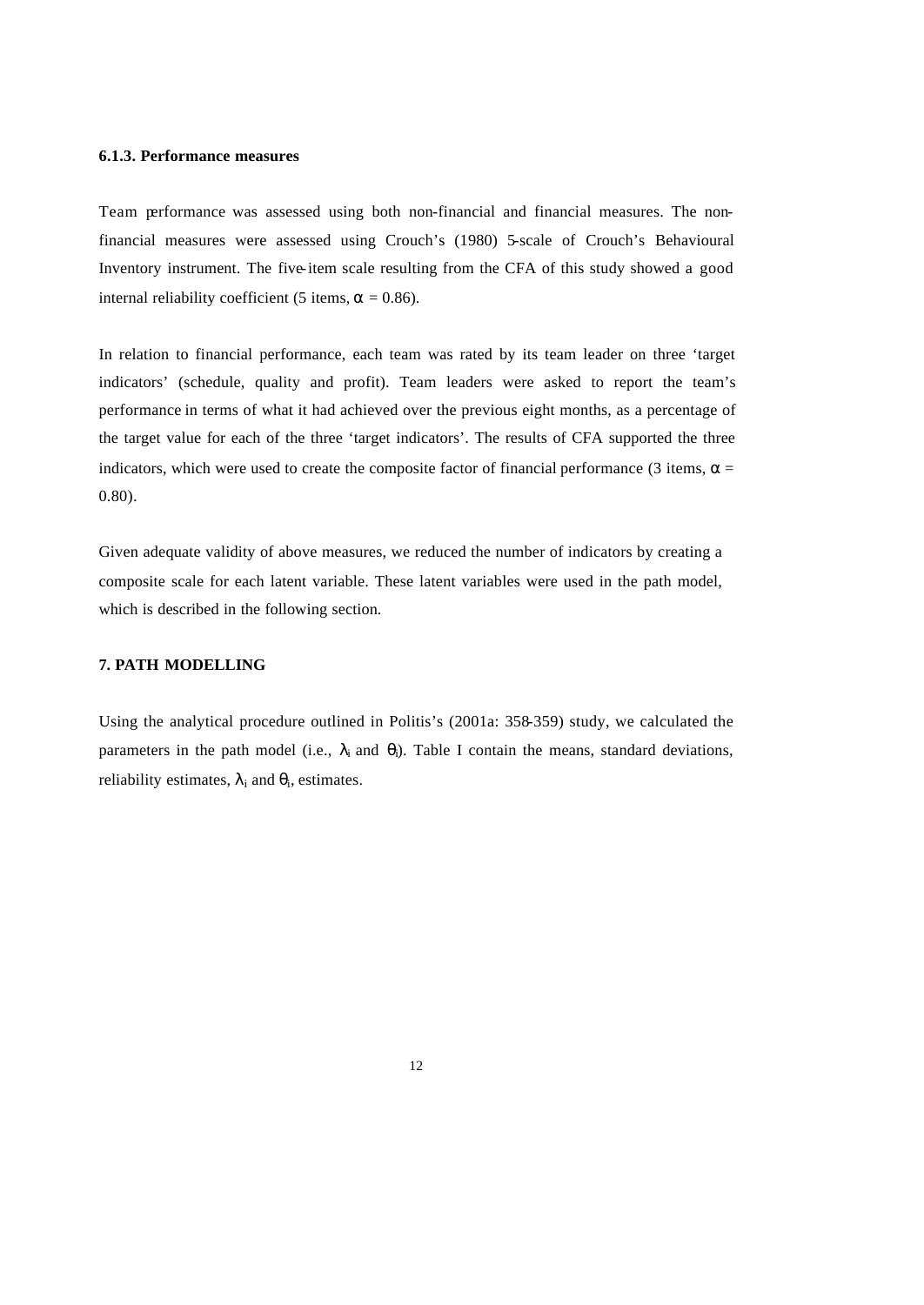#### **6.1.3. Performance measures**

Team performance was assessed using both non-financial and financial measures. The nonfinancial measures were assessed using Crouch's (1980) 5-scale of Crouch's Behavioural Inventory instrument. The five-item scale resulting from the CFA of this study showed a good internal reliability coefficient (5 items,  $\alpha = 0.86$ ).

In relation to financial performance, each team was rated by its team leader on three 'target indicators' (schedule, quality and profit). Team leaders were asked to report the team's performance in terms of what it had achieved over the previous eight months, as a percentage of the target value for each of the three 'target indicators'. The results of CFA supported the three indicators, which were used to create the composite factor of financial performance (3 items,  $\alpha$  = 0.80).

Given adequate validity of above measures, we reduced the number of indicators by creating a composite scale for each latent variable. These latent variables were used in the path model, which is described in the following section.

## **7. PATH MODELLING**

Using the analytical procedure outlined in Politis's (2001a: 358-359) study, we calculated the parameters in the path model (i.e.,  $\lambda_i$  and  $\theta_i$ ). Table I contain the means, standard deviations, reliability estimates,  $\lambda_i$  and  $\theta_i$ , estimates.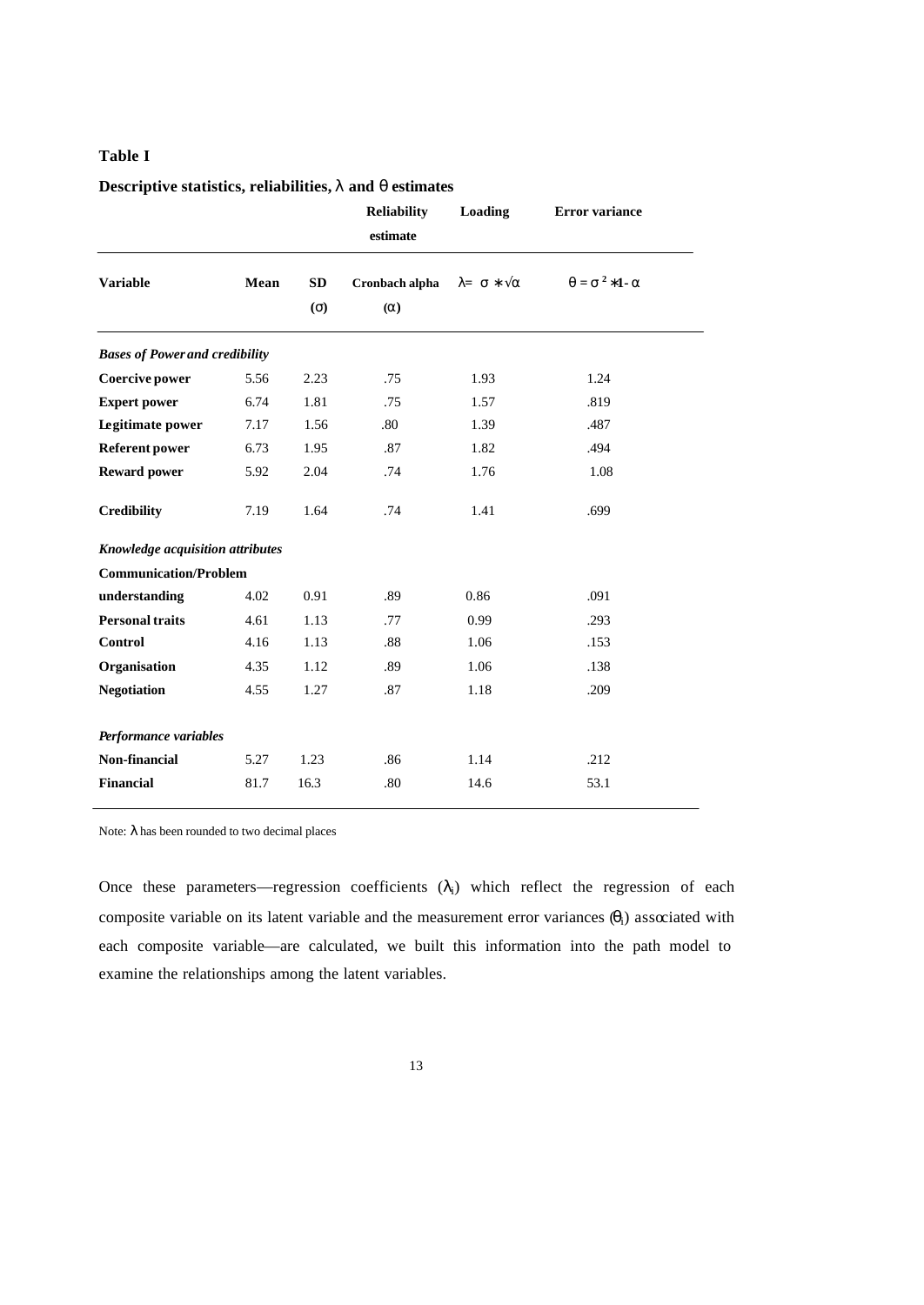# **Table I**

# **Descriptive statistics, reliabilities, l and q estimates**

|                                       |      |                  | <b>Reliability</b><br>estimate | Loading       | <b>Error</b> variance |
|---------------------------------------|------|------------------|--------------------------------|---------------|-----------------------|
| <b>Variable</b>                       | Mean | <b>SD</b><br>(s) | Cronbach alpha<br>(a)          | $l = s * 0$ a | $q = s^2 * 1 - a$     |
| <b>Bases of Power and credibility</b> |      |                  |                                |               |                       |
| Coercive power                        | 5.56 | 2.23             | .75                            | 1.93          | 1.24                  |
| <b>Expert power</b>                   | 6.74 | 1.81             | .75                            | 1.57          | .819                  |
| <b>Legitimate power</b>               | 7.17 | 1.56             | .80                            | 1.39          | .487                  |
| <b>Referent power</b>                 | 6.73 | 1.95             | .87                            | 1.82          | .494                  |
| <b>Reward power</b>                   | 5.92 | 2.04             | .74                            | 1.76          | 1.08                  |
| <b>Credibility</b>                    | 7.19 | 1.64             | .74                            | 1.41          | .699                  |
| Knowledge acquisition attributes      |      |                  |                                |               |                       |
| <b>Communication/Problem</b>          |      |                  |                                |               |                       |
| understanding                         | 4.02 | 0.91             | .89                            | 0.86          | .091                  |
| <b>Personal traits</b>                | 4.61 | 1.13             | .77                            | 0.99          | .293                  |
| <b>Control</b>                        | 4.16 | 1.13             | .88                            | 1.06          | .153                  |
| Organisation                          | 4.35 | 1.12             | .89                            | 1.06          | .138                  |
| <b>Negotiation</b>                    | 4.55 | 1.27             | .87                            | 1.18          | .209                  |
| Performance variables                 |      |                  |                                |               |                       |
| Non-financial                         | 5.27 | 1.23             | .86                            | 1.14          | .212                  |
| <b>Financial</b>                      | 81.7 | 16.3             | .80                            | 14.6          | 53.1                  |

Note:  $\lambda$  has been rounded to two decimal places

Once these parameters—regression coefficients  $(\lambda_i)$  which reflect the regression of each composite variable on its latent variable and the measurement error variances  $(\theta_i)$  associated with each composite variable—are calculated, we built this information into the path model to examine the relationships among the latent variables.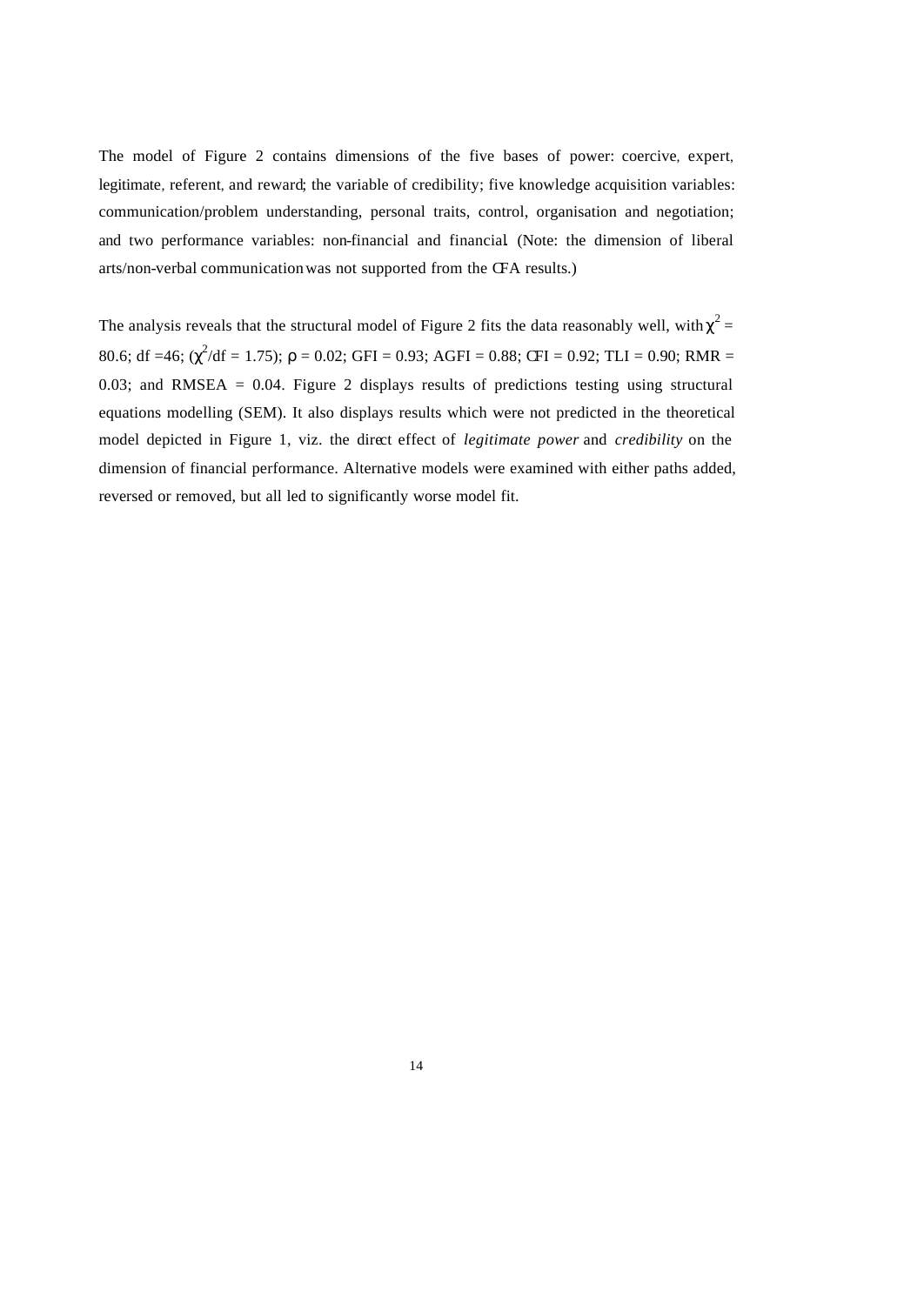The model of Figure 2 contains dimensions of the five bases of power: coercive, expert, legitimate, referent, and reward; the variable of credibility; five knowledge acquisition variables: communication/problem understanding, personal traits, control, organisation and negotiation; and two performance variables: non-financial and financial. (Note: the dimension of liberal arts/non-verbal communication was not supported from the CFA results.)

The analysis reveals that the structural model of Figure 2 fits the data reasonably well, with  $\chi^2$  = 80.6; df =46;  $(\chi^2/df = 1.75)$ ;  $\rho = 0.02$ ; GFI = 0.93; AGFI = 0.88; CFI = 0.92; TLI = 0.90; RMR = 0.03; and RMSEA = 0.04. Figure 2 displays results of predictions testing using structural equations modelling (SEM). It also displays results which were not predicted in the theoretical model depicted in Figure 1, viz. the direct effect of *legitimate power* and *credibility* on the dimension of financial performance. Alternative models were examined with either paths added, reversed or removed, but all led to significantly worse model fit.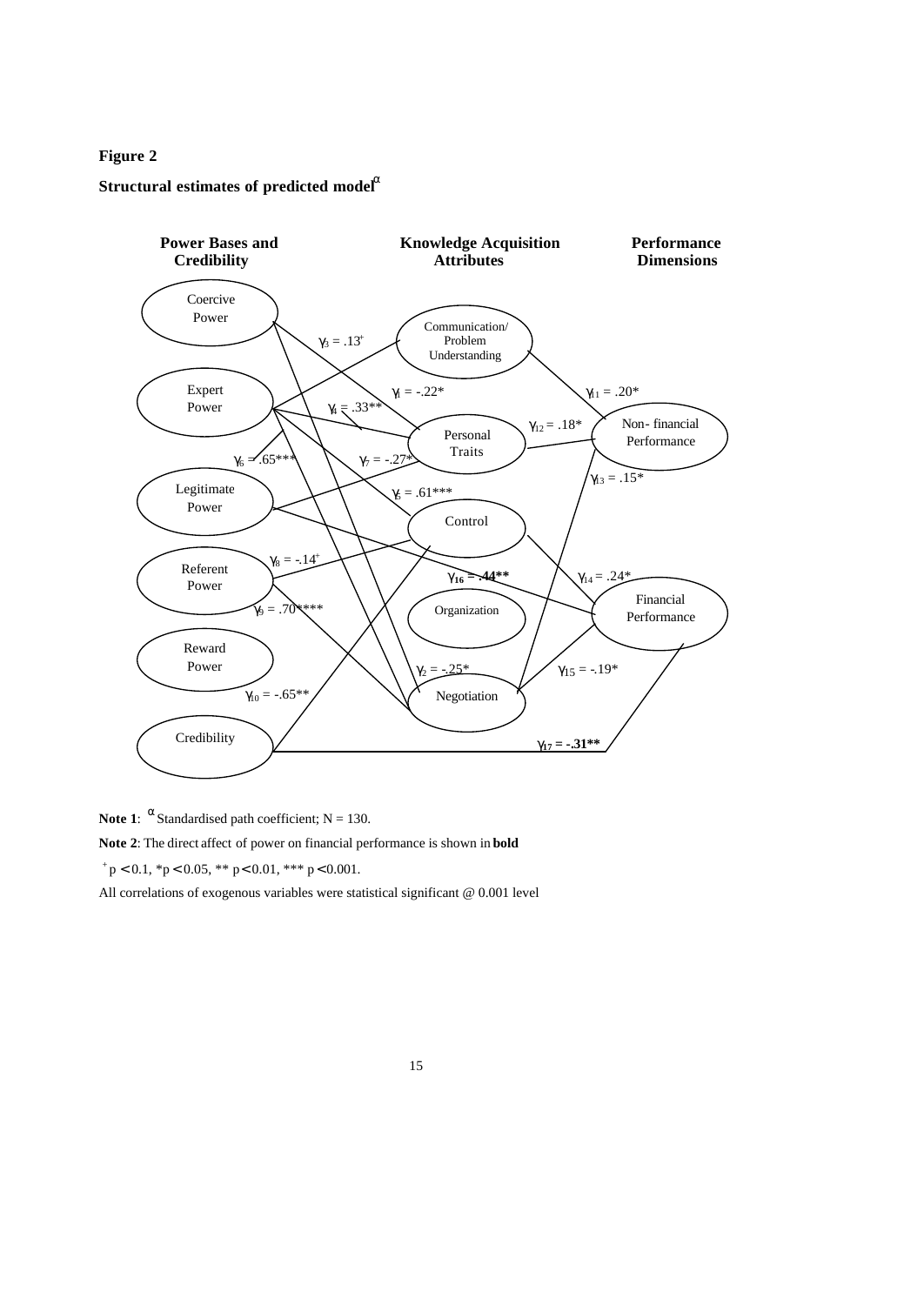# **Figure 2**

# **Structural estimates of predicted model<sup>a</sup>**



**Note 1:**  $\alpha$  Standardised path coefficient; N = 130. **Note 2**: The direct affect of power on financial performance is shown in **bold**

 $p < 0.1$ , \*p < 0.05, \*\* p < 0.01, \*\*\* p < 0.001.

All correlations of exogenous variables were statistical significant @ 0.001 level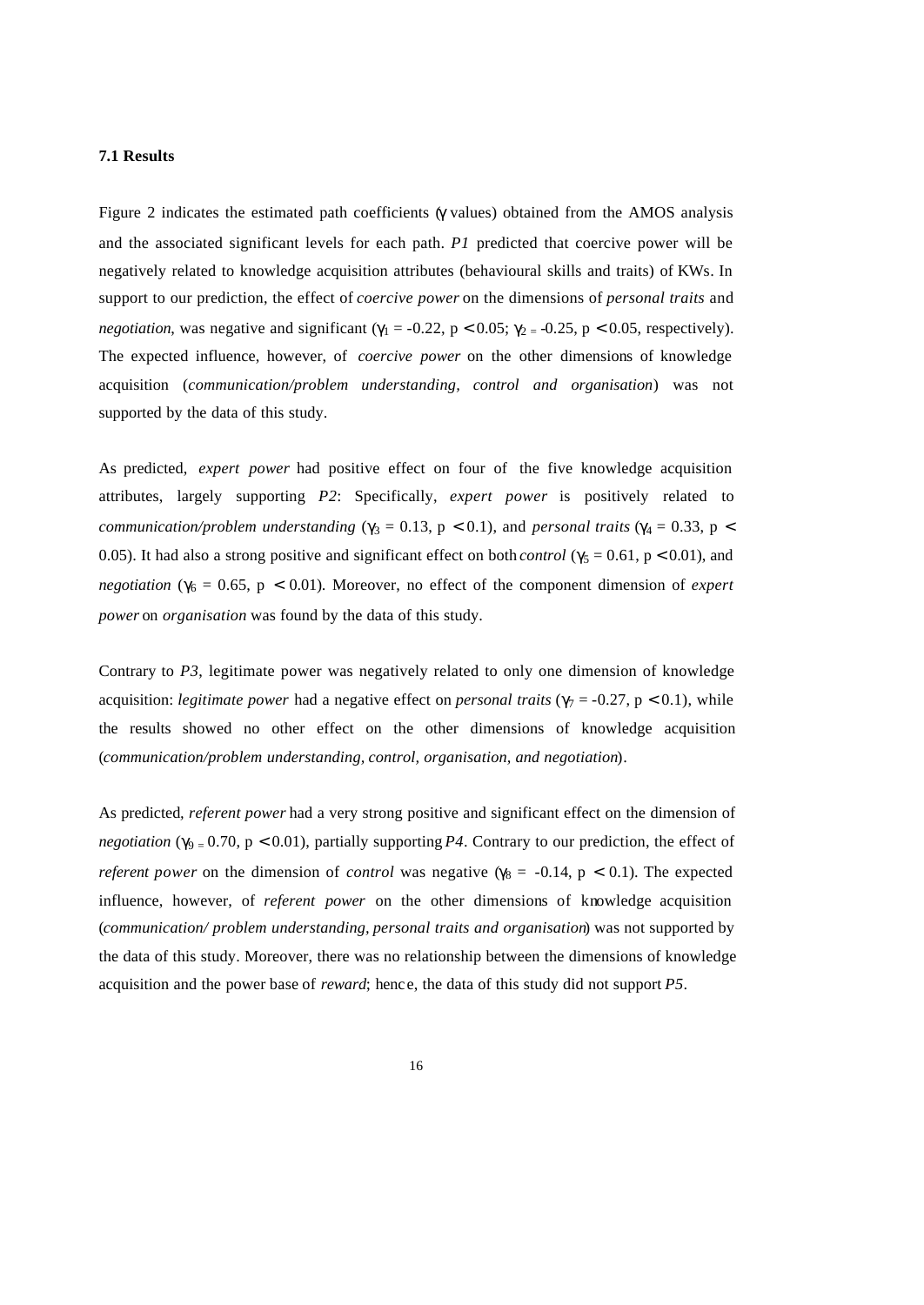#### **7.1 Results**

Figure 2 indicates the estimated path coefficients (γ values) obtained from the AMOS analysis and the associated significant levels for each path. *P1* predicted that coercive power will be negatively related to knowledge acquisition attributes (behavioural skills and traits) of KWs. In support to our prediction, the effect of *coercive power* on the dimensions of *personal traits* and *negotiation*, was negative and significant ( $\gamma_1 = -0.22$ ,  $p < 0.05$ ;  $\gamma_2 = -0.25$ ,  $p < 0.05$ , respectively). The expected influence, however, of *coercive power* on the other dimensions of knowledge acquisition (*communication/problem understanding, control and organisation*) was not supported by the data of this study.

As predicted, *expert power* had positive effect on four of the five knowledge acquisition attributes, largely supporting *P2*: Specifically, *expert power* is positively related to *communication/problem understanding* ( $\gamma_3 = 0.13$ ,  $p < 0.1$ ), and *personal traits* ( $\gamma_4 = 0.33$ ,  $p <$ 0.05). It had also a strong positive and significant effect on both *control* ( $\gamma_5 = 0.61$ , p < 0.01), and *negotiation* ( $\gamma_6 = 0.65$ ,  $p < 0.01$ ). Moreover, no effect of the component dimension of *expert power* on *organisation* was found by the data of this study.

Contrary to *P3*, legitimate power was negatively related to only one dimension of knowledge acquisition: *legitimate power* had a negative effect on *personal traits* ( $\gamma_7 = -0.27$ ,  $p < 0.1$ ), while the results showed no other effect on the other dimensions of knowledge acquisition (*communication/problem understanding, control, organisation, and negotiation*).

As predicted*, referent power* had a very strong positive and significant effect on the dimension of *negotiation* ( $\gamma_{9} = 0.70$ ,  $p < 0.01$ ), partially supporting *P4*. Contrary to our prediction, the effect of *referent power* on the dimension of *control* was negative ( $\gamma_8$  = -0.14, p < 0.1). The expected influence, however, of *referent power* on the other dimensions of knowledge acquisition (*communication/ problem understanding, personal traits and organisation*) was not supported by the data of this study. Moreover, there was no relationship between the dimensions of knowledge acquisition and the power base of *reward*; henc e, the data of this study did not support *P5*.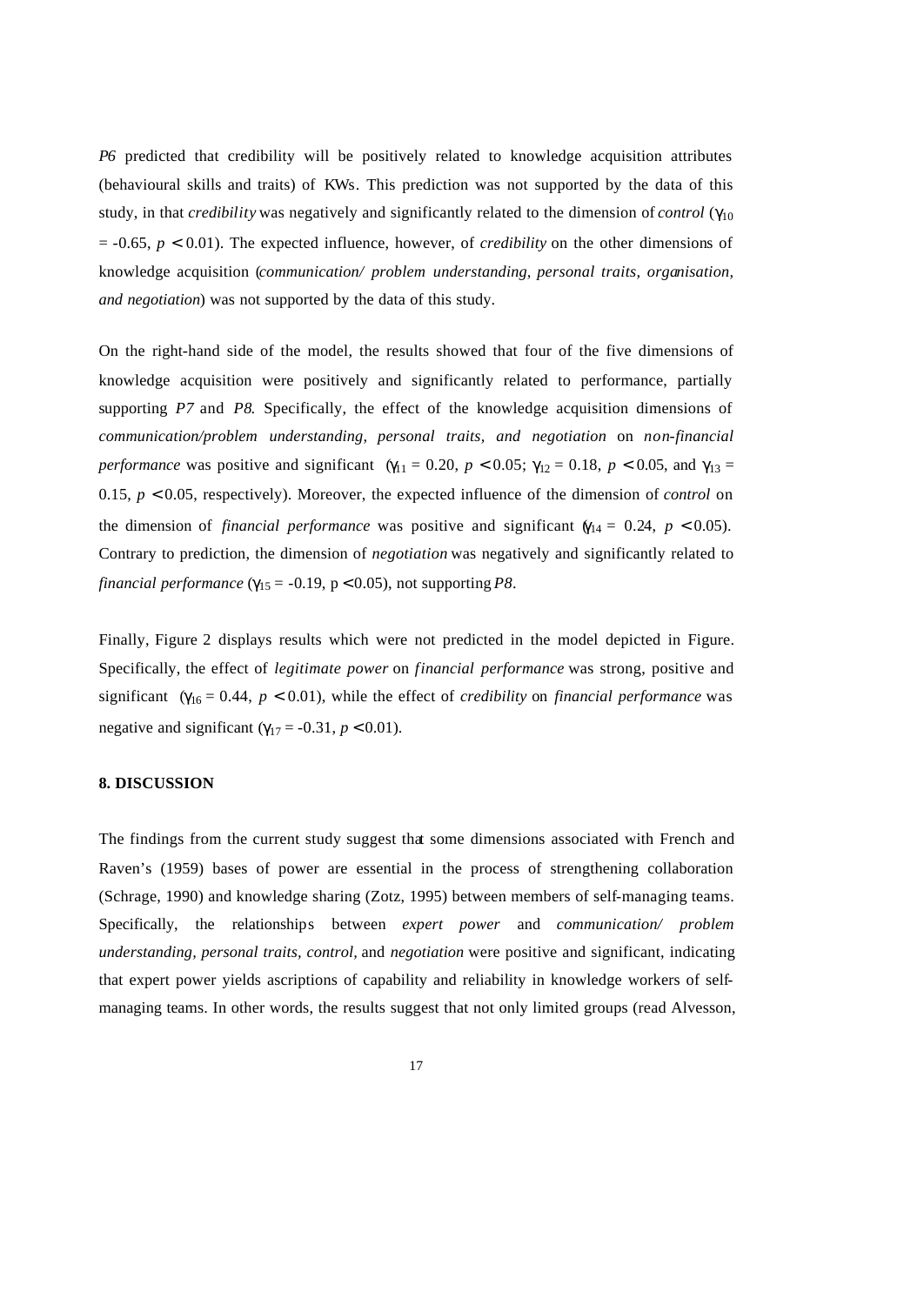*P6* predicted that credibility will be positively related to knowledge acquisition attributes (behavioural skills and traits) of KWs. This prediction was not supported by the data of this study, in that *credibility* was negatively and significantly related to the dimension of *control* (γ<sup>10</sup>  $= -0.65$ ,  $p < 0.01$ ). The expected influence, however, of *credibility* on the other dimensions of knowledge acquisition (*communication/ problem understanding, personal traits, organisation, and negotiation*) was not supported by the data of this study.

On the right-hand side of the model, the results showed that four of the five dimensions of knowledge acquisition were positively and significantly related to performance, partially supporting *P7* and *P8*. Specifically, the effect of the knowledge acquisition dimensions of *communication/problem understanding, personal traits, and negotiation* on *non-financial performance* was positive and significant ( $\gamma_{11} = 0.20$ ,  $p < 0.05$ ;  $\gamma_{12} = 0.18$ ,  $p < 0.05$ , and  $\gamma_{13} =$ 0.15, *p* < 0.05, respectively). Moreover, the expected influence of the dimension of *control* on the dimension of *financial performance* was positive and significant  $\gamma_{14} = 0.24$ ,  $p < 0.05$ ). Contrary to prediction, the dimension of *negotiation* was negatively and significantly related to *financial performance* ( $\gamma_{15}$  = -0.19, p < 0.05), not supporting P8.

Finally, Figure 2 displays results which were not predicted in the model depicted in Figure. Specifically, the effect of *legitimate power* on *financial performance* was strong, positive and significant (γ16 = 0.44, *p* < 0.01), while the effect of *credibility* on *financial performance* was negative and significant ( $\gamma_{17}$  = -0.31, *p* < 0.01).

#### **8. DISCUSSION**

The findings from the current study suggest that some dimensions associated with French and Raven's (1959) bases of power are essential in the process of strengthening collaboration (Schrage, 1990) and knowledge sharing (Zotz, 1995) between members of self-managing teams. Specifically, the relationships between *expert power* and *communication/ problem understanding, personal traits, control,* and *negotiation* were positive and significant, indicating that expert power yields ascriptions of capability and reliability in knowledge workers of selfmanaging teams. In other words, the results suggest that not only limited groups (read Alvesson,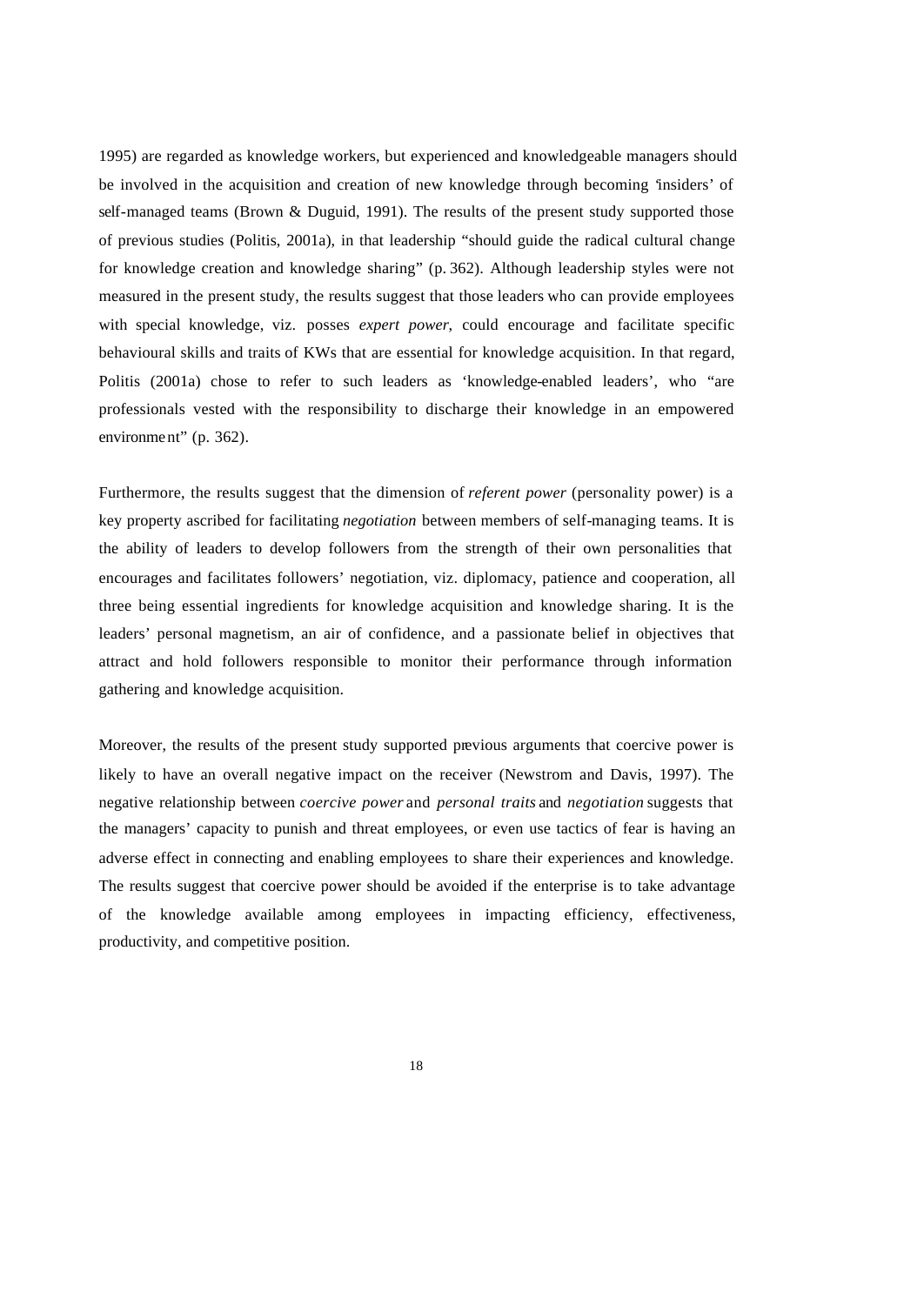1995) are regarded as knowledge workers, but experienced and knowledgeable managers should be involved in the acquisition and creation of new knowledge through becoming 'insiders' of self-managed teams (Brown & Duguid, 1991). The results of the present study supported those of previous studies (Politis, 2001a), in that leadership "should guide the radical cultural change for knowledge creation and knowledge sharing" (p. 362). Although leadership styles were not measured in the present study, the results suggest that those leaders who can provide employees with special knowledge, viz. posses *expert power*, could encourage and facilitate specific behavioural skills and traits of KWs that are essential for knowledge acquisition. In that regard, Politis (2001a) chose to refer to such leaders as 'knowledge-enabled leaders', who "are professionals vested with the responsibility to discharge their knowledge in an empowered environment" (p. 362).

Furthermore, the results suggest that the dimension of *referent power* (personality power) is a key property ascribed for facilitating *negotiation* between members of self-managing teams. It is the ability of leaders to develop followers from the strength of their own personalities that encourages and facilitates followers' negotiation, viz. diplomacy, patience and cooperation, all three being essential ingredients for knowledge acquisition and knowledge sharing. It is the leaders' personal magnetism, an air of confidence, and a passionate belief in objectives that attract and hold followers responsible to monitor their performance through information gathering and knowledge acquisition.

Moreover, the results of the present study supported previous arguments that coercive power is likely to have an overall negative impact on the receiver (Newstrom and Davis, 1997). The negative relationship between *coercive power* and *personal traits* and *negotiation* suggests that the managers' capacity to punish and threat employees, or even use tactics of fear is having an adverse effect in connecting and enabling employees to share their experiences and knowledge. The results suggest that coercive power should be avoided if the enterprise is to take advantage of the knowledge available among employees in impacting efficiency, effectiveness, productivity, and competitive position.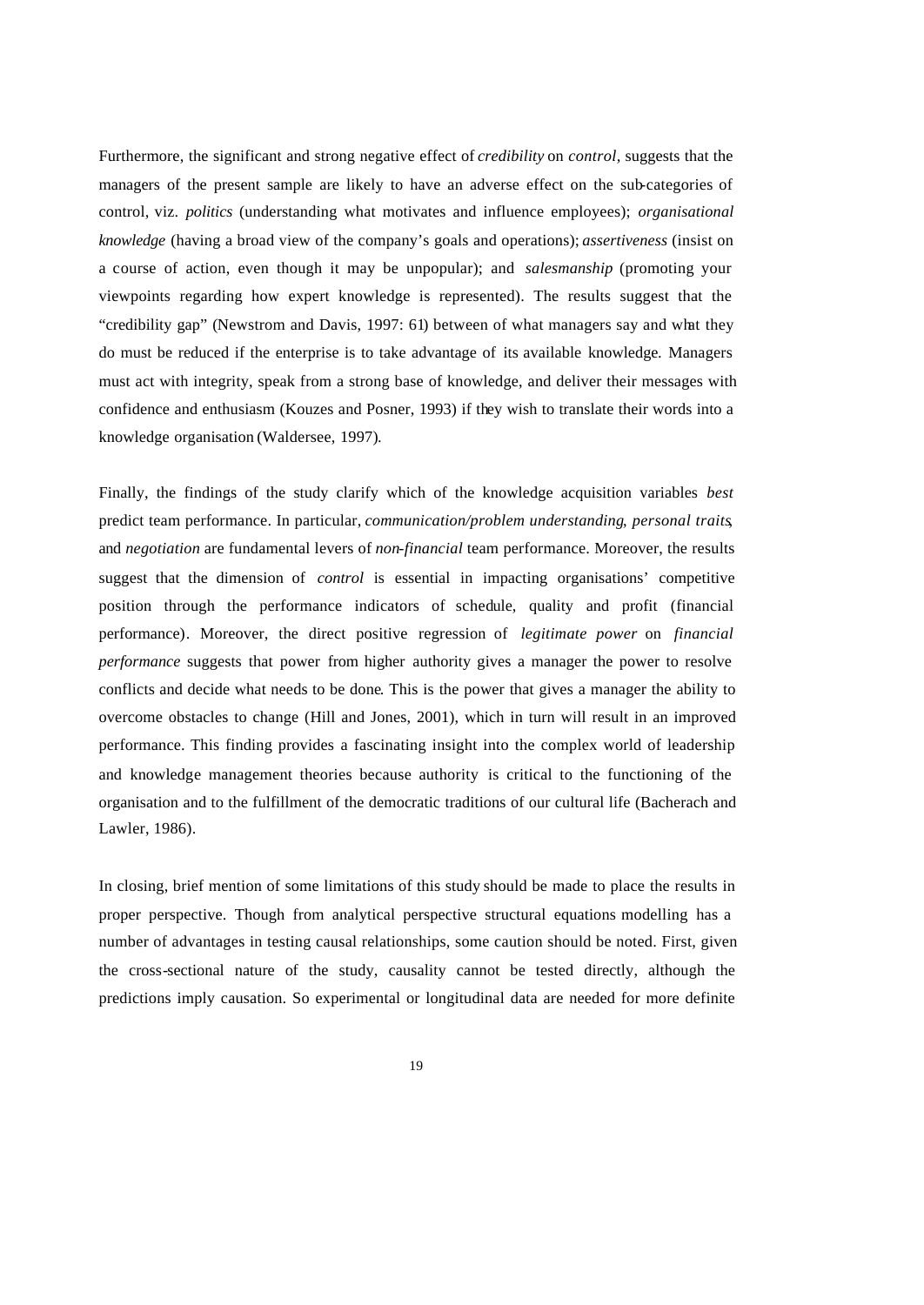Furthermore, the significant and strong negative effect of *credibility* on *control,* suggests that the managers of the present sample are likely to have an adverse effect on the sub-categories of control, viz. *politics* (understanding what motivates and influence employees); *organisational knowledge* (having a broad view of the company's goals and operations); *assertiveness* (insist on a course of action, even though it may be unpopular); and *salesmanship* (promoting your viewpoints regarding how expert knowledge is represented). The results suggest that the "credibility gap" (Newstrom and Davis, 1997: 61) between of what managers say and what they do must be reduced if the enterprise is to take advantage of its available knowledge. Managers must act with integrity, speak from a strong base of knowledge, and deliver their messages with confidence and enthusiasm (Kouzes and Posner, 1993) if they wish to translate their words into a knowledge organisation (Waldersee, 1997).

Finally, the findings of the study clarify which of the knowledge acquisition variables *best*  predict team performance. In particular, *communication/problem understanding*, *personal traits*, and *negotiation* are fundamental levers of *non-financial* team performance. Moreover, the results suggest that the dimension of *control* is essential in impacting organisations' competitive position through the performance indicators of schedule, quality and profit (financial performance). Moreover, the direct positive regression of *legitimate power* on *financial performance* suggests that power from higher authority gives a manager the power to resolve conflicts and decide what needs to be done. This is the power that gives a manager the ability to overcome obstacles to change (Hill and Jones, 2001), which in turn will result in an improved performance. This finding provides a fascinating insight into the complex world of leadership and knowledge management theories because authority is critical to the functioning of the organisation and to the fulfillment of the democratic traditions of our cultural life (Bacherach and Lawler, 1986).

In closing, brief mention of some limitations of this study should be made to place the results in proper perspective. Though from analytical perspective structural equations modelling has a number of advantages in testing causal relationships, some caution should be noted. First, given the cross-sectional nature of the study, causality cannot be tested directly, although the predictions imply causation. So experimental or longitudinal data are needed for more definite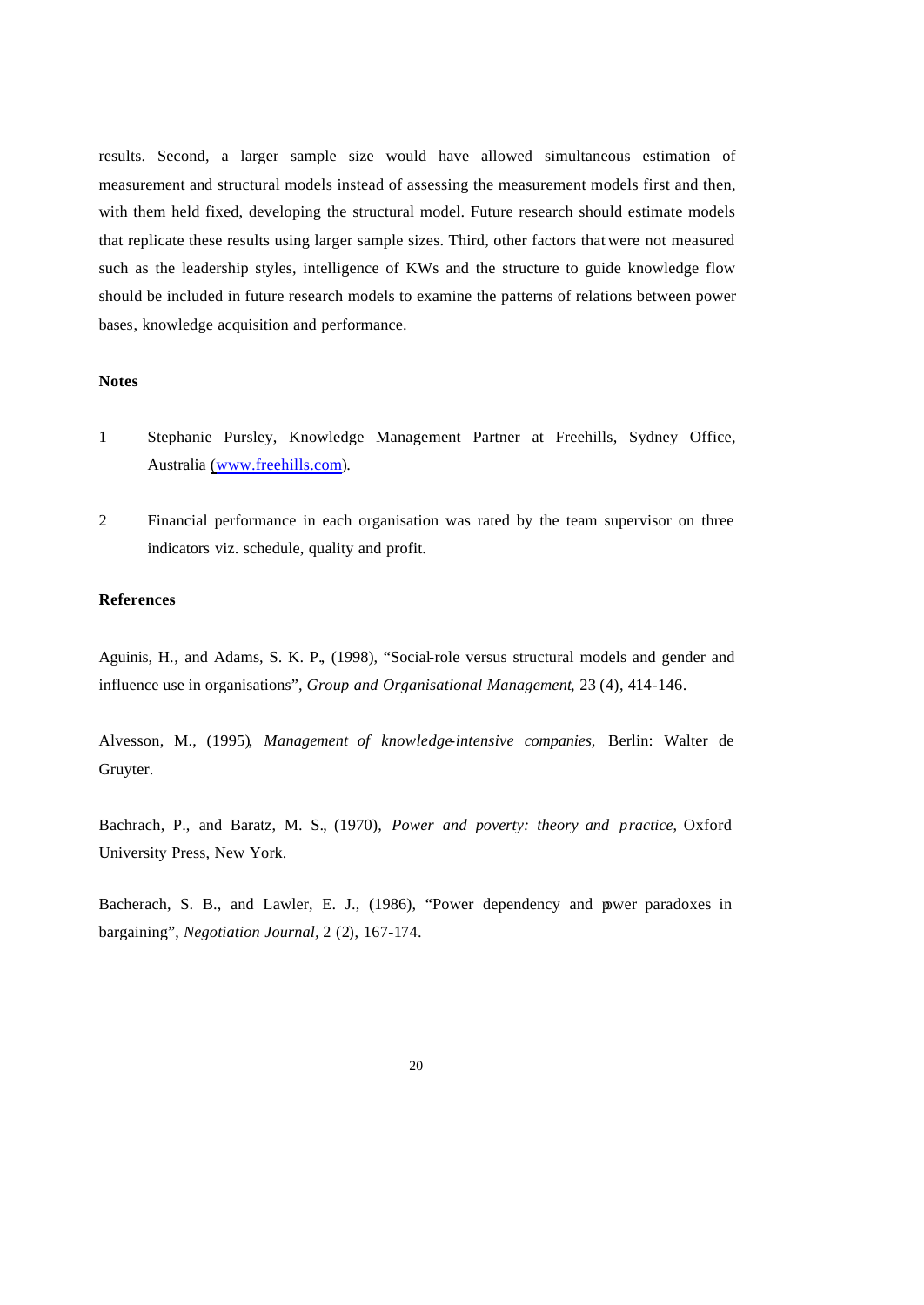results. Second, a larger sample size would have allowed simultaneous estimation of measurement and structural models instead of assessing the measurement models first and then, with them held fixed, developing the structural model. Future research should estimate models that replicate these results using larger sample sizes. Third, other factors that were not measured such as the leadership styles, intelligence of KWs and the structure to guide knowledge flow should be included in future research models to examine the patterns of relations between power bases, knowledge acquisition and performance.

# **Notes**

- 1 Stephanie Pursley, Knowledge Management Partner at Freehills, Sydney Office, Australia (www.freehills.com).
- 2 Financial performance in each organisation was rated by the team supervisor on three indicators viz. schedule, quality and profit.

## **References**

Aguinis, H., and Adams, S. K. P., (1998), "Social-role versus structural models and gender and influence use in organisations", *Group and Organisational Management*, 23 (4), 414-146.

Alvesson, M., (1995), *Management of knowledge-intensive companies,* Berlin: Walter de Gruyter.

Bachrach, P., and Baratz, M. S., (1970), *Power and poverty: theory and practice*, Oxford University Press, New York.

Bacherach, S. B., and Lawler, E. J., (1986), "Power dependency and power paradoxes in bargaining", *Negotiation Journal,* 2 (2), 167-174.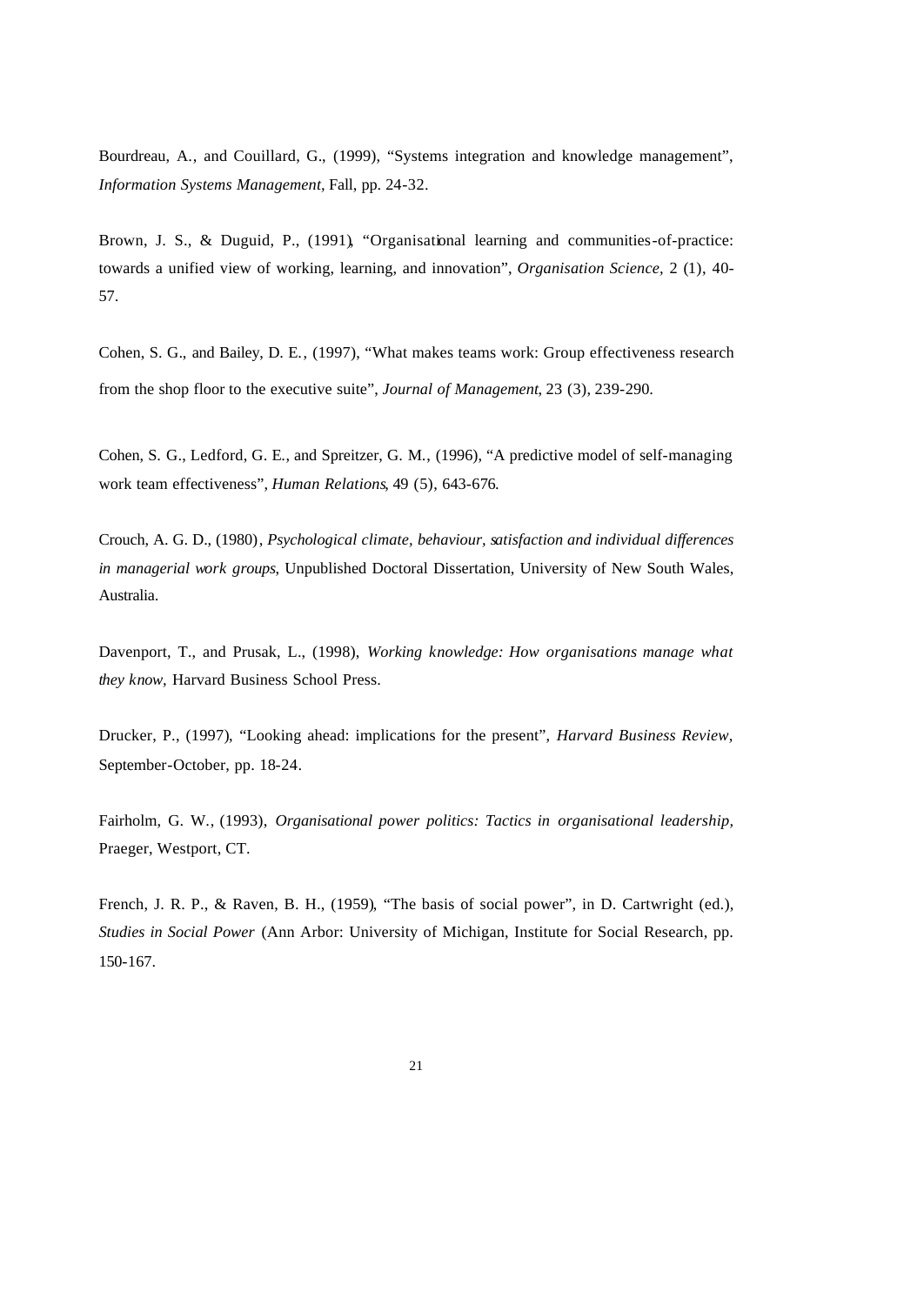Bourdreau, A., and Couillard, G., (1999), "Systems integration and knowledge management", *Information Systems Management,* Fall, pp. 24-32.

Brown, J. S., & Duguid, P., (1991), "Organisational learning and communities-of-practice: towards a unified view of working, learning, and innovation", *Organisation Science,* 2 (1), 40- 57.

Cohen, S. G., and Bailey, D. E., (1997), "What makes teams work: Group effectiveness research from the shop floor to the executive suite", *Journal of Management*, 23 (3), 239-290.

Cohen, S. G., Ledford, G. E., and Spreitzer, G. M., (1996), "A predictive model of self-managing work team effectiveness", *Human Relations*, 49 (5), 643-676.

Crouch, A. G. D., (1980), *Psychological climate, behaviour, satisfaction and individual differences in managerial work groups*, Unpublished Doctoral Dissertation, University of New South Wales, Australia.

Davenport, T., and Prusak, L., (1998), *Working knowledge: How organisations manage what they know,* Harvard Business School Press.

Drucker, P., (1997), "Looking ahead: implications for the present", *Harvard Business Review,* September-October, pp. 18-24.

Fairholm, G. W., (1993), *Organisational power politics: Tactics in organisational leadership,* Praeger, Westport, CT.

French, J. R. P., & Raven, B. H., (1959), "The basis of social power", in D. Cartwright (ed.), *Studies in Social Power* (Ann Arbor: University of Michigan, Institute for Social Research, pp. 150-167.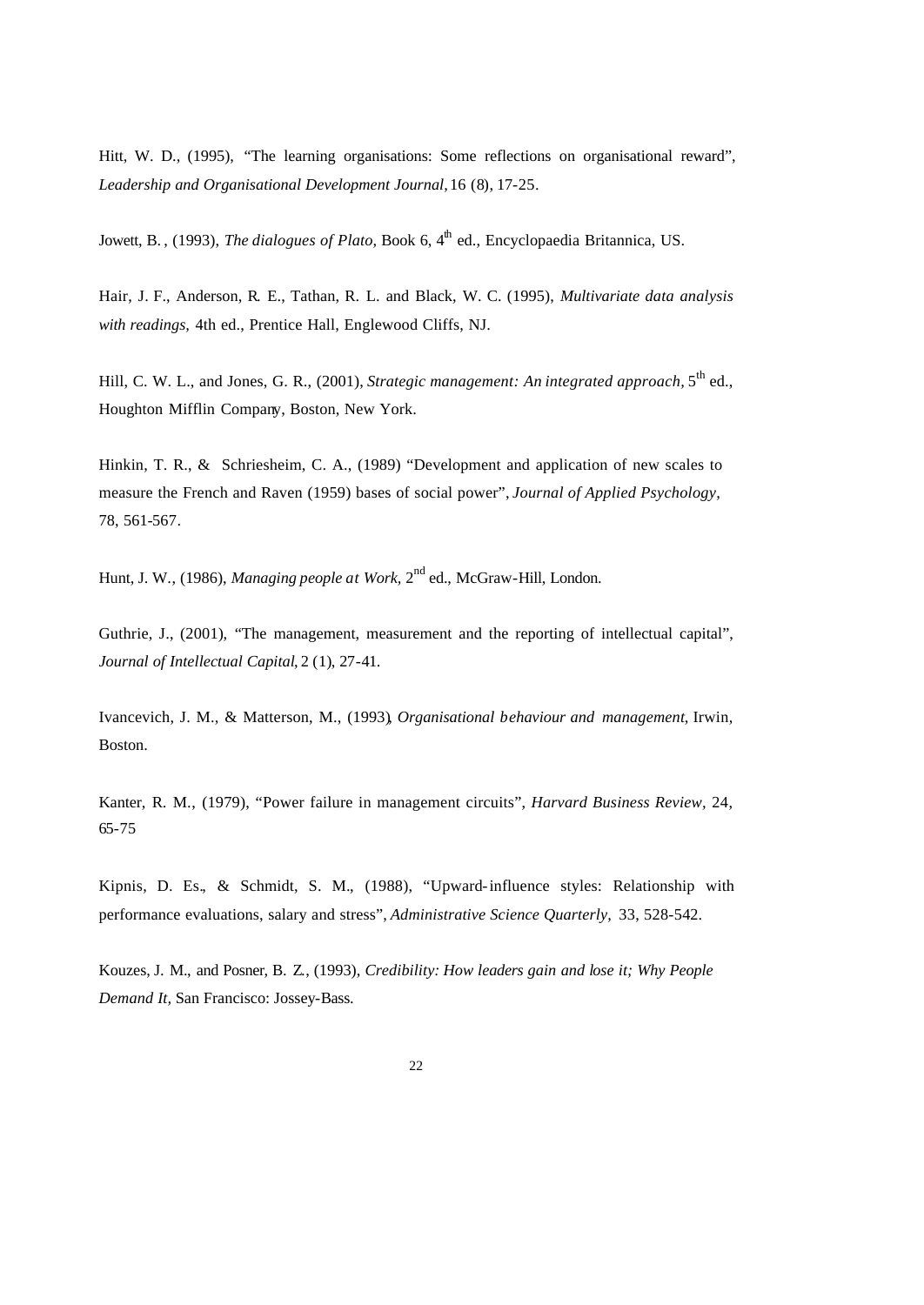Hitt, W. D., (1995), "The learning organisations: Some reflections on organisational reward", *Leadership and Organisational Development Journal,* 16 (8), 17-25.

Jowett, B., (1993), *The dialogues of Plato*, Book 6, 4<sup>th</sup> ed., Encyclopaedia Britannica, US.

Hair, J. F., Anderson, R. E., Tathan, R. L. and Black, W. C. (1995), *Multivariate data analysis with readings,* 4th ed., Prentice Hall, Englewood Cliffs, NJ.

Hill, C. W. L., and Jones, G. R., (2001), *Strategic management: An integrated approach*, 5<sup>th</sup> ed., Houghton Mifflin Company, Boston, New York.

Hinkin, T. R., & Schriesheim, C. A., (1989) "Development and application of new scales to measure the French and Raven (1959) bases of social power", *Journal of Applied Psychology,* 78, 561-567.

Hunt, J. W., (1986), *Managing people at Work*, 2<sup>nd</sup> ed., McGraw-Hill, London.

Guthrie, J., (2001), "The management, measurement and the reporting of intellectual capital", *Journal of Intellectual Capital*, 2 (1), 27-41.

Ivancevich, J. M., & Matterson, M., (1993), *Organisational behaviour and management*, Irwin, Boston.

Kanter, R. M., (1979), "Power failure in management circuits", *Harvard Business Review,* 24, 65-75

Kipnis, D. Es., & Schmidt, S. M., (1988), "Upward-influence styles: Relationship with performance evaluations, salary and stress", *Administrative Science Quarterly,* 33, 528-542.

Kouzes, J. M., and Posner, B. Z., (1993), *Credibility: How leaders gain and lose it; Why People Demand It,* San Francisco: Jossey-Bass.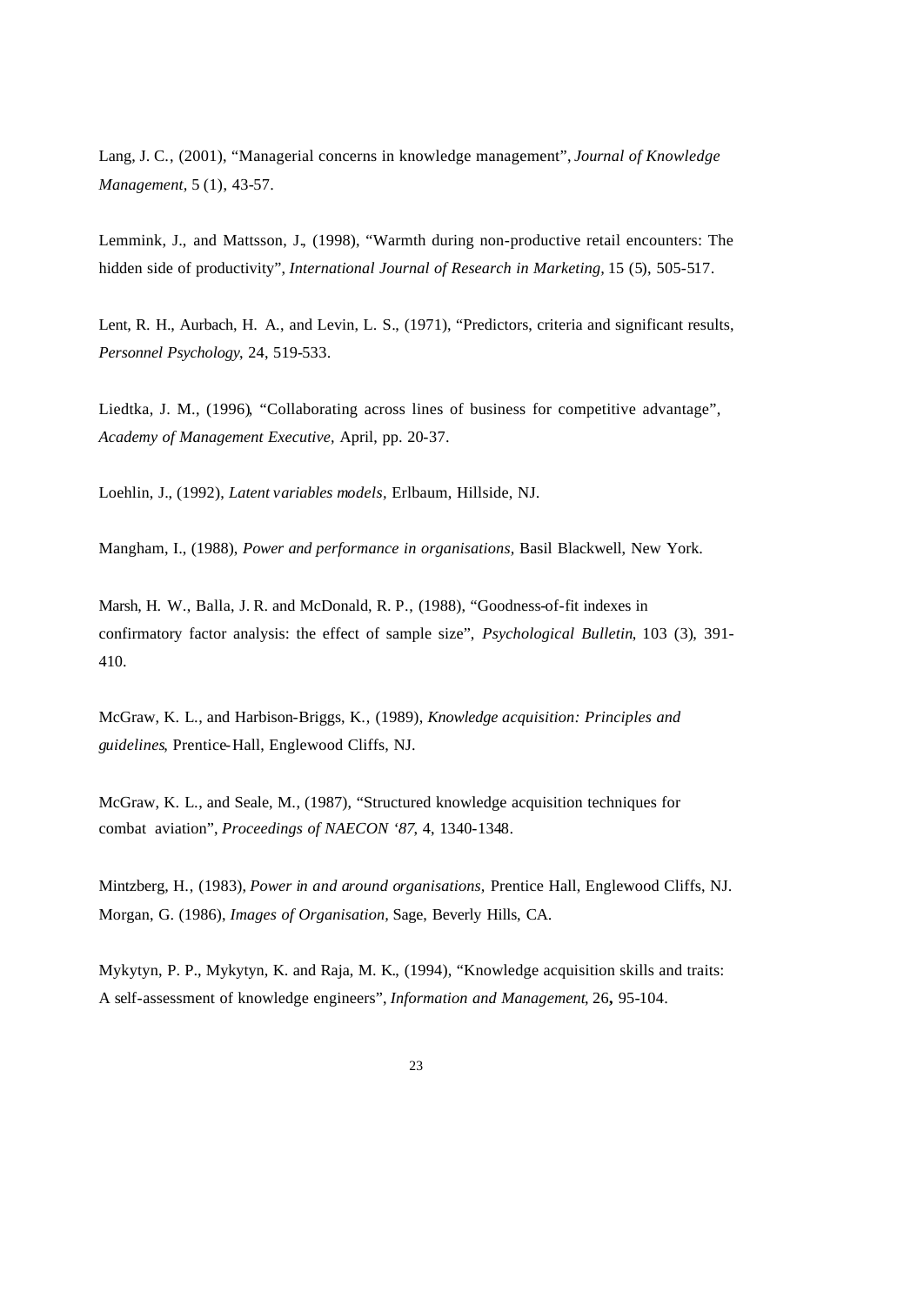Lang, J. C., (2001), "Managerial concerns in knowledge management", *Journal of Knowledge Management,* 5 (1), 43-57.

Lemmink, J., and Mattsson, J., (1998), "Warmth during non-productive retail encounters: The hidden side of productivity", *International Journal of Research in Marketing*, 15 (5), 505-517.

Lent, R. H., Aurbach, H. A., and Levin, L. S., (1971), "Predictors, criteria and significant results, *Personnel Psychology*, 24, 519-533.

Liedtka, J. M., (1996), "Collaborating across lines of business for competitive advantage", *Academy of Management Executive,* April, pp. 20-37.

Loehlin, J., (1992), *Latent variables models,* Erlbaum, Hillside, NJ.

Mangham, I., (1988), *Power and performance in organisations,* Basil Blackwell, New York.

Marsh, H. W., Balla, J. R. and McDonald, R. P., (1988), "Goodness-of-fit indexes in confirmatory factor analysis: the effect of sample size", *Psychological Bulletin*, 103 (3), 391- 410.

McGraw, K. L., and Harbison-Briggs, K., (1989), *Knowledge acquisition: Principles and guidelines*, Prentice-Hall, Englewood Cliffs, NJ.

McGraw, K. L., and Seale, M., (1987), "Structured knowledge acquisition techniques for combat aviation", *Proceedings of NAECON '87*, 4, 1340-1348.

Mintzberg, H., (1983), *Power in and around organisations,* Prentice Hall, Englewood Cliffs, NJ. Morgan, G. (1986), *Images of Organisation,* Sage, Beverly Hills, CA.

Mykytyn, P. P., Mykytyn, K. and Raja, M. K., (1994), "Knowledge acquisition skills and traits: A self-assessment of knowledge engineers", *Information and Management*, 26**,** 95-104.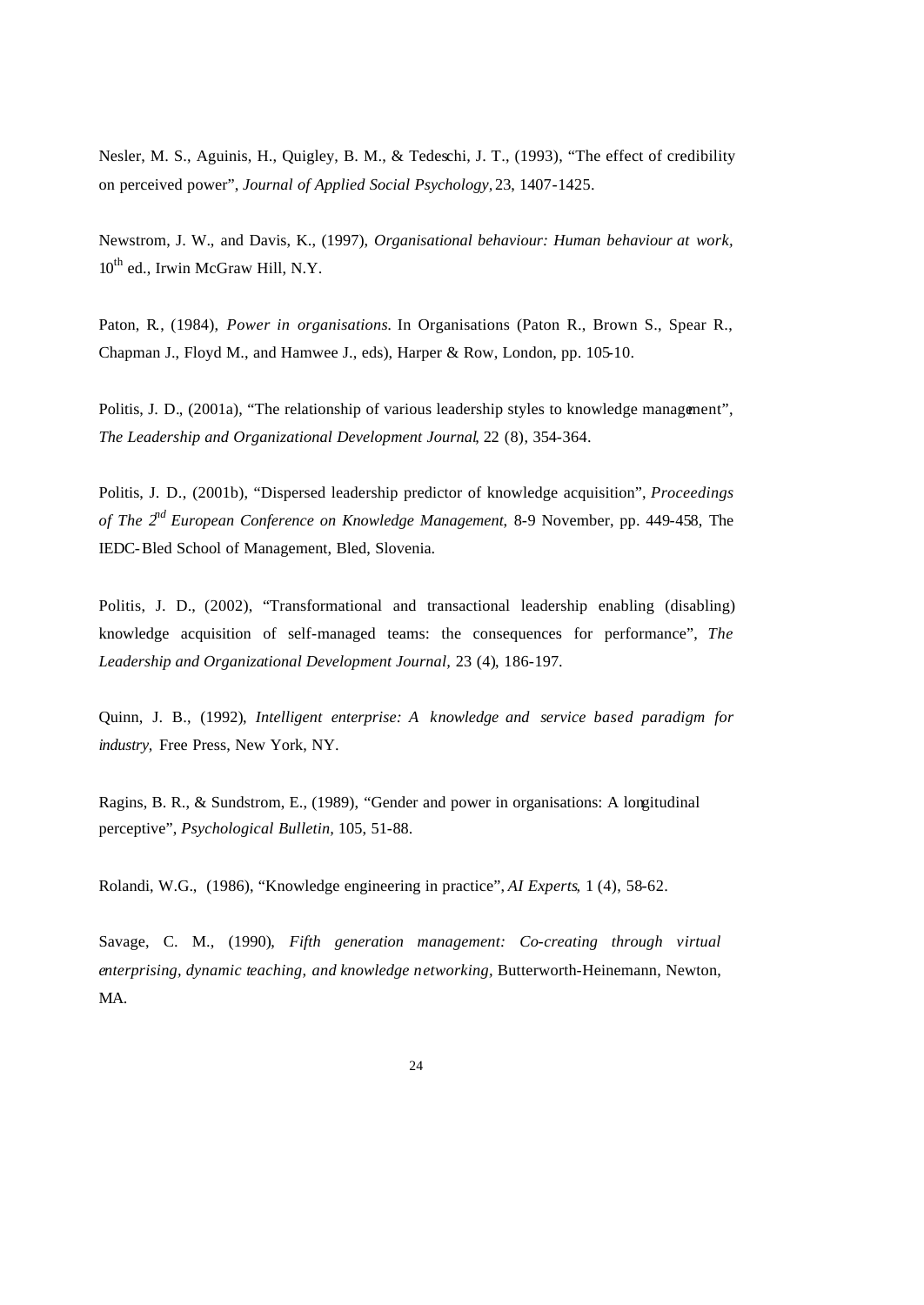Nesler, M. S., Aguinis, H., Quigley, B. M., & Tedeschi, J. T., (1993), "The effect of credibility on perceived power", *Journal of Applied Social Psychology,* 23, 1407-1425.

Newstrom, J. W., and Davis, K., (1997), *Organisational behaviour: Human behaviour at work,*   $10^{th}$  ed., Irwin McGraw Hill, N.Y.

Paton, R., (1984), *Power in organisations.* In Organisations (Paton R., Brown S., Spear R., Chapman J., Floyd M., and Hamwee J., eds), Harper & Row, London, pp. 105-10.

Politis, J. D., (2001a), "The relationship of various leadership styles to knowledge management". *The Leadership and Organizational Development Journal*, 22 (8), 354-364.

Politis, J. D., (2001b), "Dispersed leadership predictor of knowledge acquisition", *Proceedings of The 2nd European Conference on Knowledge Management*, 8-9 November, pp. 449-458, The IEDC-Bled School of Management, Bled, Slovenia.

Politis, J. D., (2002), "Transformational and transactional leadership enabling (disabling) knowledge acquisition of self-managed teams: the consequences for performance", *The Leadership and Organizational Development Journal,* 23 (4), 186-197.

Quinn, J. B., (1992), *Intelligent enterprise: A knowledge and service based paradigm for industry,* Free Press, New York, NY.

Ragins, B. R., & Sundstrom, E., (1989), "Gender and power in organisations: A longitudinal perceptive", *Psychological Bulletin,* 105, 51-88.

Rolandi, W.G., (1986), "Knowledge engineering in practice", *AI Experts*, 1 (4), 58-62.

Savage, C. M., (1990), *Fifth generation management: Co-creating through virtual enterprising, dynamic teaching, and knowledge networking,* Butterworth-Heinemann, Newton, MA.